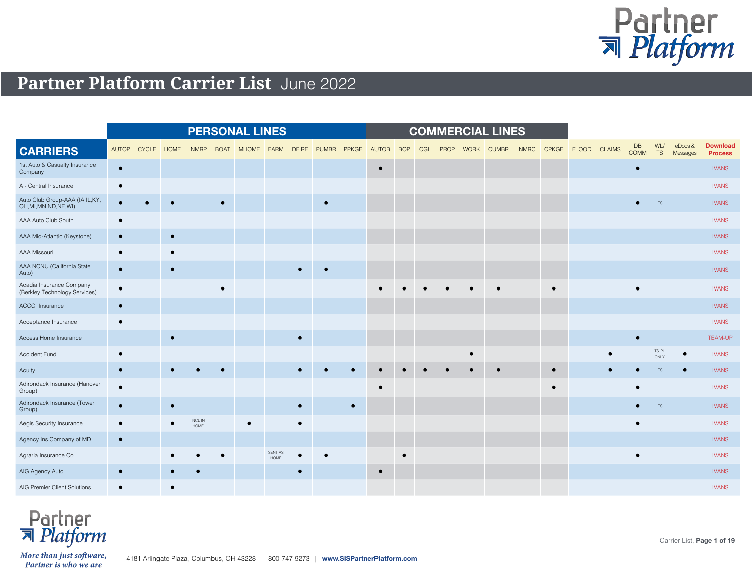

## **Partner Platform Carrier List** June 2022

|                                                             |              |              |             |                 |             | <b>PERSONAL LINES</b> |                        |              |           |              |              |            |     |             |             | <b>COMMERCIAL LINES</b> |              |                    |            |                   |                  |                    |                                   |
|-------------------------------------------------------------|--------------|--------------|-------------|-----------------|-------------|-----------------------|------------------------|--------------|-----------|--------------|--------------|------------|-----|-------------|-------------|-------------------------|--------------|--------------------|------------|-------------------|------------------|--------------------|-----------------------------------|
| <b>CARRIERS</b>                                             | <b>AUTOP</b> | <b>CYCLE</b> | <b>HOME</b> | <b>INMRP</b>    | <b>BOAT</b> | <b>MHOME</b>          | <b>FARM</b>            | <b>DFIRE</b> | PUMBR     | <b>PPKGE</b> | <b>AUTOB</b> | <b>BOP</b> | CGL | <b>PROP</b> | <b>WORK</b> | <b>CUMBR</b>            | <b>INMRC</b> | CPKGE FLOOD CLAIMS |            | DB<br><b>COMM</b> | WL/<br><b>TS</b> | eDocs&<br>Messages | <b>Download</b><br><b>Process</b> |
| 1st Auto & Casualty Insurance<br>Company                    | $\bullet$    |              |             |                 |             |                       |                        |              |           |              | $\bullet$    |            |     |             |             |                         |              |                    |            | $\bullet$         |                  |                    | <b>IVANS</b>                      |
| A - Central Insurance                                       | $\bullet$    |              |             |                 |             |                       |                        |              |           |              |              |            |     |             |             |                         |              |                    |            |                   |                  |                    | <b>IVANS</b>                      |
| Auto Club Group-AAA (IA, IL, KY,<br>OH, MI, MN, ND, NE, WI) | $\bullet$    |              |             |                 | $\bullet$   |                       |                        |              | $\bullet$ |              |              |            |     |             |             |                         |              |                    |            | $\bullet$         | $TS$             |                    | <b>IVANS</b>                      |
| AAA Auto Club South                                         | $\bullet$    |              |             |                 |             |                       |                        |              |           |              |              |            |     |             |             |                         |              |                    |            |                   |                  |                    | <b>IVANS</b>                      |
| AAA Mid-Atlantic (Keystone)                                 | $\bullet$    |              | $\bullet$   |                 |             |                       |                        |              |           |              |              |            |     |             |             |                         |              |                    |            |                   |                  |                    | <b>IVANS</b>                      |
| AAA Missouri                                                | $\bullet$    |              |             |                 |             |                       |                        |              |           |              |              |            |     |             |             |                         |              |                    |            |                   |                  |                    | <b>IVANS</b>                      |
| AAA NCNU (California State<br>Auto)                         | $\bullet$    |              | $\bullet$   |                 |             |                       |                        | $\bullet$    | $\bullet$ |              |              |            |     |             |             |                         |              |                    |            |                   |                  |                    | <b>IVANS</b>                      |
| Acadia Insurance Company<br>(Berkley Technology Services)   | $\bullet$    |              |             |                 | $\bullet$   |                       |                        |              |           |              |              |            |     |             |             |                         |              |                    |            | $\bullet$         |                  |                    | <b>IVANS</b>                      |
| ACCC Insurance                                              | $\bullet$    |              |             |                 |             |                       |                        |              |           |              |              |            |     |             |             |                         |              |                    |            |                   |                  |                    | <b>IVANS</b>                      |
| Acceptance Insurance                                        | $\bullet$    |              |             |                 |             |                       |                        |              |           |              |              |            |     |             |             |                         |              |                    |            |                   |                  |                    | <b>IVANS</b>                      |
| Access Home Insurance                                       |              |              |             |                 |             |                       |                        | $\bullet$    |           |              |              |            |     |             |             |                         |              |                    |            | $\bullet$         |                  |                    | TEAM-UP                           |
| Accident Fund                                               | $\bullet$    |              |             |                 |             |                       |                        |              |           |              |              |            |     |             | $\bullet$   |                         |              |                    | $\epsilon$ |                   | TS PL<br>ONLY    | $\bullet$          | <b>IVANS</b>                      |
| Acuity                                                      | $\bullet$    |              |             |                 |             |                       |                        |              |           |              |              |            |     |             |             |                         |              |                    |            |                   | <b>TS</b>        |                    | <b>IVANS</b>                      |
| Adirondack Insurance (Hanover<br>Group)                     | $\bullet$    |              |             |                 |             |                       |                        |              |           |              | $\bullet$    |            |     |             |             |                         |              |                    |            | $\bullet$         |                  |                    | <b>IVANS</b>                      |
| Adirondack Insurance (Tower<br>Group)                       | $\bullet$    |              |             |                 |             |                       |                        | $\bullet$    |           | $\bullet$    |              |            |     |             |             |                         |              |                    |            | $\bullet$         | $\mathsf{TS}$    |                    | <b>IVANS</b>                      |
| Aegis Security Insurance                                    | $\bullet$    |              |             | INCL IN<br>HOME |             |                       |                        | $\bullet$    |           |              |              |            |     |             |             |                         |              |                    |            | $\bullet$         |                  |                    | <b>IVANS</b>                      |
| Agency Ins Company of MD                                    | $\bullet$    |              |             |                 |             |                       |                        |              |           |              |              |            |     |             |             |                         |              |                    |            |                   |                  |                    | <b>IVANS</b>                      |
| Agraria Insurance Co                                        |              |              |             |                 |             |                       | SENT AS<br><b>HOME</b> |              |           |              |              |            |     |             |             |                         |              |                    |            |                   |                  |                    | <b>IVANS</b>                      |
| AIG Agency Auto                                             | $\bullet$    |              |             |                 |             |                       |                        | $\bullet$    |           |              | $\bullet$    |            |     |             |             |                         |              |                    |            |                   |                  |                    | <b>IVANS</b>                      |
| AIG Premier Client Solutions                                |              |              |             |                 |             |                       |                        |              |           |              |              |            |     |             |             |                         |              |                    |            |                   |                  |                    | <b>IVANS</b>                      |



Carrier List, **Page 1 of 19**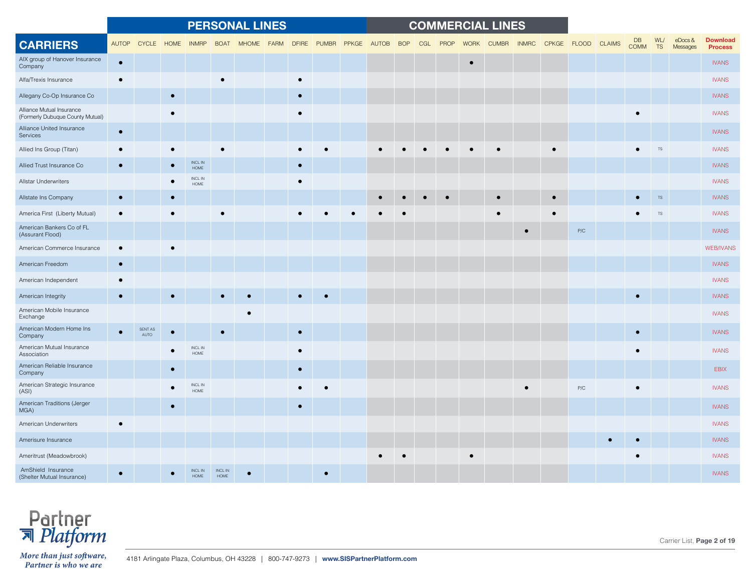|                                                               |              |                        |           |                             |                        | <b>PERSONAL LINES</b> |      |           |             |       |       |            |     |      |             | <b>COMMERCIAL LINES</b> |              |           |                    |                          |           |                        |                                   |
|---------------------------------------------------------------|--------------|------------------------|-----------|-----------------------------|------------------------|-----------------------|------|-----------|-------------|-------|-------|------------|-----|------|-------------|-------------------------|--------------|-----------|--------------------|--------------------------|-----------|------------------------|-----------------------------------|
| <b>CARRIERS</b>                                               | <b>AUTOP</b> | CYCLE                  | HOME      | <b>INMRP</b>                | <b>BOAT</b>            | <b>MHOME</b>          | FARM |           | DFIRE PUMBR | PPKGE | AUTOB | <b>BOP</b> | CGL | PROP | <b>WORK</b> | <b>CUMBR</b>            | <b>INMRC</b> |           | CPKGE FLOOD CLAIMS | <b>DB</b><br><b>COMM</b> | WL/<br>TS | $e$ Docs &<br>Messages | <b>Download</b><br><b>Process</b> |
| AIX group of Hanover Insurance<br>Company                     | $\bullet$    |                        |           |                             |                        |                       |      |           |             |       |       |            |     |      | $\bullet$   |                         |              |           |                    |                          |           |                        | <b>IVANS</b>                      |
| Alfa/Trexis Insurance                                         | $\bullet$    |                        |           |                             | $\bullet$              |                       |      | $\bullet$ |             |       |       |            |     |      |             |                         |              |           |                    |                          |           |                        | <b>IVANS</b>                      |
| Allegany Co-Op Insurance Co                                   |              |                        |           |                             |                        |                       |      | $\bullet$ |             |       |       |            |     |      |             |                         |              |           |                    |                          |           |                        | <b>IVANS</b>                      |
| Alliance Mutual Insurance<br>(Formerly Dubuque County Mutual) |              |                        |           |                             |                        |                       |      | $\bullet$ |             |       |       |            |     |      |             |                         |              |           |                    |                          |           |                        | <b>IVANS</b>                      |
| Alliance United Insurance<br>Services                         | $\bullet$    |                        |           |                             |                        |                       |      |           |             |       |       |            |     |      |             |                         |              |           |                    |                          |           |                        | <b>IVANS</b>                      |
| Allied Ins Group (Titan)                                      |              |                        |           |                             |                        |                       |      |           |             |       |       |            |     |      |             |                         |              |           |                    |                          | <b>TS</b> |                        | <b>IVANS</b>                      |
| Allied Trust Insurance Co                                     | $\bullet$    |                        |           | INCL IN<br>HOME             |                        |                       |      |           |             |       |       |            |     |      |             |                         |              |           |                    |                          |           |                        | <b>IVANS</b>                      |
| Allstar Underwriters                                          |              |                        |           | $\sf INCL$ $\sf IN$<br>HOME |                        |                       |      |           |             |       |       |            |     |      |             |                         |              |           |                    |                          |           |                        | <b>IVANS</b>                      |
| Allstate Ins Company                                          | $\bullet$    |                        | $\bullet$ |                             |                        |                       |      |           |             |       |       |            |     |      |             |                         |              | $\bullet$ |                    |                          | TS        |                        | <b>IVANS</b>                      |
| America First (Liberty Mutual)                                | $\bullet$    |                        |           |                             |                        |                       |      |           |             |       |       |            |     |      |             |                         |              |           |                    |                          |           |                        | <b>IVANS</b>                      |
| American Bankers Co of FL<br>(Assurant Flood)                 |              |                        |           |                             |                        |                       |      |           |             |       |       |            |     |      |             |                         |              |           | P/C                |                          |           |                        | <b>IVANS</b>                      |
| American Commerce Insurance                                   |              |                        |           |                             |                        |                       |      |           |             |       |       |            |     |      |             |                         |              |           |                    |                          |           |                        | <b>WEB/IVANS</b>                  |
| American Freedom                                              | $\bullet$    |                        |           |                             |                        |                       |      |           |             |       |       |            |     |      |             |                         |              |           |                    |                          |           |                        | <b>IVANS</b>                      |
| American Independent                                          |              |                        |           |                             |                        |                       |      |           |             |       |       |            |     |      |             |                         |              |           |                    |                          |           |                        | <b>IVANS</b>                      |
| American Integrity                                            | $\bullet$    |                        |           |                             | $\bullet$              |                       |      | $\bullet$ |             |       |       |            |     |      |             |                         |              |           |                    | $\overline{ }$           |           |                        | <b>IVANS</b>                      |
| American Mobile Insurance<br>Exchange                         |              |                        |           |                             |                        |                       |      |           |             |       |       |            |     |      |             |                         |              |           |                    |                          |           |                        | <b>IVANS</b>                      |
| American Modern Home Ins<br>Company                           |              | SENT AS<br><b>AUTO</b> |           |                             | $\bullet$              |                       |      | $\bullet$ |             |       |       |            |     |      |             |                         |              |           |                    |                          |           |                        | <b>IVANS</b>                      |
| American Mutual Insurance<br>Association                      |              |                        |           | $\sf INCL$ $\sf IN$<br>HOME |                        |                       |      | $\bullet$ |             |       |       |            |     |      |             |                         |              |           |                    |                          |           |                        | <b>IVANS</b>                      |
| American Reliable Insurance<br>Company                        |              |                        |           |                             |                        |                       |      | $\bullet$ |             |       |       |            |     |      |             |                         |              |           |                    |                          |           |                        | <b>EBIX</b>                       |
| American Strategic Insurance<br>(ASI)                         |              |                        |           | $\sf INCL$ $\sf IN$<br>HOME |                        |                       |      | $\bullet$ |             |       |       |            |     |      |             |                         | $\bullet$    |           | P/C                |                          |           |                        | <b>IVANS</b>                      |
| American Traditions (Jerger<br>MGA)                           |              |                        |           |                             |                        |                       |      | $\bullet$ |             |       |       |            |     |      |             |                         |              |           |                    |                          |           |                        | <b>IVANS</b>                      |
| American Underwriters                                         | $\bullet$    |                        |           |                             |                        |                       |      |           |             |       |       |            |     |      |             |                         |              |           |                    |                          |           |                        | <b>IVANS</b>                      |
| Amerisure Insurance                                           |              |                        |           |                             |                        |                       |      |           |             |       |       |            |     |      |             |                         |              |           |                    |                          |           |                        | <b>IVANS</b>                      |
| Ameritrust (Meadowbrook)                                      |              |                        |           |                             |                        |                       |      |           |             |       |       |            |     |      |             |                         |              |           |                    |                          |           |                        | <b>IVANS</b>                      |
| AmShield Insurance<br>(Shelter Mutual Insurance)              |              |                        |           | INCL IN<br><b>HOME</b>      | <b>INCL IN</b><br>HOME |                       |      |           |             |       |       |            |     |      |             |                         |              |           |                    |                          |           |                        | <b>IVANS</b>                      |



Carrier List, **Page 2 of 19**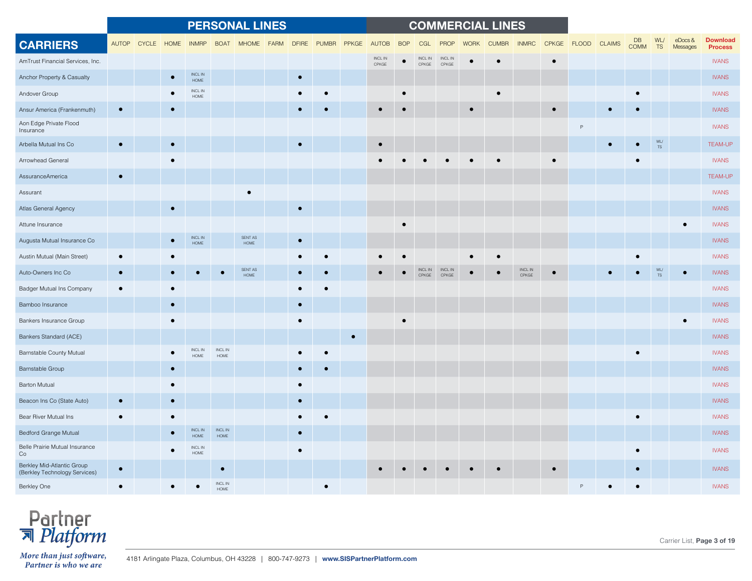|                                                             |           |             |      |                                    |                               | <b>PERSONAL LINES</b>  |             |              |              |           |                              |            |                  |                  |             | <b>COMMERCIAL LINES</b> |                              |             |               |                   |                  |                           |                                   |
|-------------------------------------------------------------|-----------|-------------|------|------------------------------------|-------------------------------|------------------------|-------------|--------------|--------------|-----------|------------------------------|------------|------------------|------------------|-------------|-------------------------|------------------------------|-------------|---------------|-------------------|------------------|---------------------------|-----------------------------------|
| <b>CARRIERS</b>                                             |           | AUTOP CYCLE | HOME | <b>INMRP</b>                       | <b>BOAT</b>                   | <b>MHOME</b>           | <b>FARM</b> | <b>DFIRE</b> | <b>PUMBR</b> | PPKGE     | <b>AUTOB</b>                 | <b>BOP</b> | CGL              | <b>PROP</b>      | <b>WORK</b> | <b>CUMBR</b>            | <b>INMRC</b>                 | CPKGE FLOOD | <b>CLAIMS</b> | DB<br><b>COMM</b> | WL/<br><b>TS</b> | $e$ Docs $\&$<br>Messages | <b>Download</b><br><b>Process</b> |
| AmTrust Financial Services, Inc.                            |           |             |      |                                    |                               |                        |             |              |              |           | $\sf INCL$ $\sf IN$<br>CPKGE |            | INCL IN<br>CPKGE | INCL IN<br>CPKGE |             |                         |                              |             |               |                   |                  |                           | <b>IVANS</b>                      |
| Anchor Property & Casualty                                  |           |             |      | INCL IN<br>HOME                    |                               |                        |             | $\bullet$    |              |           |                              |            |                  |                  |             |                         |                              |             |               |                   |                  |                           | <b>IVANS</b>                      |
| Andover Group                                               |           |             |      | <b>INCLIN</b><br>HOME              |                               |                        |             |              |              |           |                              |            |                  |                  |             |                         |                              |             |               |                   |                  |                           | <b>IVANS</b>                      |
| Ansur America (Frankenmuth)                                 |           |             |      |                                    |                               |                        |             |              |              |           |                              |            |                  |                  |             |                         |                              |             |               |                   |                  |                           | <b>IVANS</b>                      |
| Aon Edge Private Flood<br>Insurance                         |           |             |      |                                    |                               |                        |             |              |              |           |                              |            |                  |                  |             |                         |                              |             |               |                   |                  |                           | <b>IVANS</b>                      |
| Arbella Mutual Ins Co                                       | $\bullet$ |             |      |                                    |                               |                        |             |              |              |           |                              |            |                  |                  |             |                         |                              |             |               |                   | WL/<br><b>TS</b> |                           | <b>TEAM-UP</b>                    |
| Arrowhead General                                           |           |             |      |                                    |                               |                        |             |              |              |           |                              |            |                  |                  |             |                         |                              |             |               |                   |                  |                           | <b>IVANS</b>                      |
| AssuranceAmerica                                            | $\bullet$ |             |      |                                    |                               |                        |             |              |              |           |                              |            |                  |                  |             |                         |                              |             |               |                   |                  |                           | <b>TEAM-UP</b>                    |
| Assurant                                                    |           |             |      |                                    |                               |                        |             |              |              |           |                              |            |                  |                  |             |                         |                              |             |               |                   |                  |                           | <b>IVANS</b>                      |
| Atlas General Agency                                        |           |             |      |                                    |                               |                        |             | $\bullet$    |              |           |                              |            |                  |                  |             |                         |                              |             |               |                   |                  |                           | <b>IVANS</b>                      |
| Attune Insurance                                            |           |             |      |                                    |                               |                        |             |              |              |           |                              |            |                  |                  |             |                         |                              |             |               |                   |                  |                           | <b>IVANS</b>                      |
| Augusta Mutual Insurance Co                                 |           |             |      | $\sf INCL$ $\sf IN$<br><b>HOME</b> |                               | SENT AS<br>$\sf{HOME}$ |             | $\bullet$    |              |           |                              |            |                  |                  |             |                         |                              |             |               |                   |                  |                           | <b>IVANS</b>                      |
| Austin Mutual (Main Street)                                 |           |             |      |                                    |                               |                        |             |              |              |           |                              |            |                  |                  |             |                         |                              |             |               |                   |                  |                           | <b>IVANS</b>                      |
| Auto-Owners Inc Co                                          |           |             |      |                                    |                               | SENT AS<br><b>HOME</b> |             |              |              |           |                              |            | INCL IN<br>CPKGE | INCL IN<br>CPKGE |             |                         | $\sf INCL$ $\sf IN$<br>CPKGE |             |               |                   |                  |                           | <b>IVANS</b>                      |
| Badger Mutual Ins Company                                   |           |             |      |                                    |                               |                        |             |              |              |           |                              |            |                  |                  |             |                         |                              |             |               |                   |                  |                           | <b>IVANS</b>                      |
| Bamboo Insurance                                            |           |             |      |                                    |                               |                        |             |              |              |           |                              |            |                  |                  |             |                         |                              |             |               |                   |                  |                           | <b>IVANS</b>                      |
| Bankers Insurance Group                                     |           |             |      |                                    |                               |                        |             | $\bullet$    |              |           |                              |            |                  |                  |             |                         |                              |             |               |                   |                  |                           | <b>IVANS</b>                      |
| Bankers Standard (ACE)                                      |           |             |      |                                    |                               |                        |             |              |              | $\bullet$ |                              |            |                  |                  |             |                         |                              |             |               |                   |                  |                           | <b>IVANS</b>                      |
| Barnstable County Mutual                                    |           |             |      | <b>INCL IN</b><br>HOME             | INCL IN<br>HOME               |                        |             |              |              |           |                              |            |                  |                  |             |                         |                              |             |               |                   |                  |                           | <b>IVANS</b>                      |
| Barnstable Group                                            |           |             |      |                                    |                               |                        |             |              |              |           |                              |            |                  |                  |             |                         |                              |             |               |                   |                  |                           | <b>IVANS</b>                      |
| <b>Barton Mutual</b>                                        |           |             |      |                                    |                               |                        |             | $\bullet$    |              |           |                              |            |                  |                  |             |                         |                              |             |               |                   |                  |                           | <b>IVANS</b>                      |
| Beacon Ins Co (State Auto)                                  |           |             |      |                                    |                               |                        |             |              |              |           |                              |            |                  |                  |             |                         |                              |             |               |                   |                  |                           | <b>IVANS</b>                      |
| Bear River Mutual Ins                                       |           |             |      |                                    |                               |                        |             |              |              |           |                              |            |                  |                  |             |                         |                              |             |               |                   |                  |                           | <b>IVANS</b>                      |
| Bedford Grange Mutual                                       |           |             |      | $\sf INCL$ $\sf IN$<br><b>HOME</b> | INCL IN<br>HOME               |                        |             |              |              |           |                              |            |                  |                  |             |                         |                              |             |               |                   |                  |                           | <b>IVANS</b>                      |
| Belle Prairie Mutual Insurance<br>Co                        |           |             |      | INCL IN<br>HOME                    |                               |                        |             |              |              |           |                              |            |                  |                  |             |                         |                              |             |               |                   |                  |                           | <b>IVANS</b>                      |
| Berkley Mid-Atlantic Group<br>(Berkley Technology Services) | $\bullet$ |             |      |                                    | $\bullet$                     |                        |             |              |              |           |                              |            |                  |                  |             |                         |                              |             |               |                   |                  |                           | <b>IVANS</b>                      |
| Berkley One                                                 |           |             |      |                                    | <b>INCL IN</b><br><b>HOME</b> |                        |             |              |              |           |                              |            |                  |                  |             |                         |                              |             |               |                   |                  |                           | <b>IVANS</b>                      |

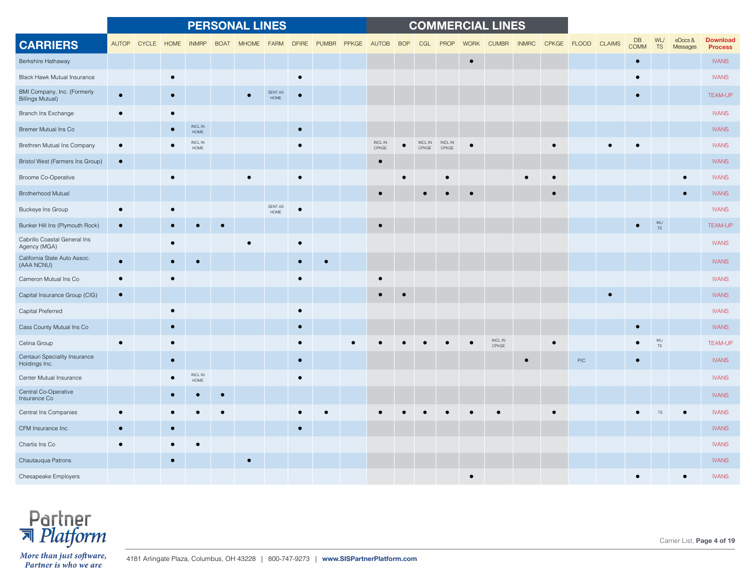|                                                        |           |             |            |                             |             | <b>PERSONAL LINES</b> |                         |           |                   |                  |                  |                  |             | <b>COMMERCIAL LINES</b>      |              |             |               |                          |                  |                        |                                   |
|--------------------------------------------------------|-----------|-------------|------------|-----------------------------|-------------|-----------------------|-------------------------|-----------|-------------------|------------------|------------------|------------------|-------------|------------------------------|--------------|-------------|---------------|--------------------------|------------------|------------------------|-----------------------------------|
| <b>CARRIERS</b>                                        |           | AUTOP CYCLE | HOME INMRP |                             | <b>BOAT</b> | MHOME FARM            |                         |           | DFIRE PUMBR PPKGE | AUTOB BOP        | CGL              | PROP             | <b>WORK</b> | <b>CUMBR</b>                 | <b>INMRC</b> | CPKGE FLOOD | <b>CLAIMS</b> | <b>DB</b><br><b>COMM</b> | WL/<br>TS        | $e$ Docs &<br>Messages | <b>Download</b><br><b>Process</b> |
| Berkshire Hathaway                                     |           |             |            |                             |             |                       |                         |           |                   |                  |                  |                  | $\bullet$   |                              |              |             |               | $\bullet$                |                  |                        | <b>IVANS</b>                      |
| <b>Black Hawk Mutual Insurance</b>                     |           |             |            |                             |             |                       |                         | $\bullet$ |                   |                  |                  |                  |             |                              |              |             |               |                          |                  |                        | <b>IVANS</b>                      |
| BMI Company, Inc. (Formerly<br><b>Billings Mutual)</b> | $\bullet$ |             |            |                             |             |                       | SENT AS<br><b>HOME</b>  | $\bullet$ |                   |                  |                  |                  |             |                              |              |             |               | $\bullet$                |                  |                        | <b>TEAM-UP</b>                    |
| Branch Ins Exchange                                    |           |             |            |                             |             |                       |                         |           |                   |                  |                  |                  |             |                              |              |             |               |                          |                  |                        | <b>IVANS</b>                      |
| Bremer Mutual Ins Co                                   |           |             |            | $\sf INCL$ $\sf IN$<br>HOME |             |                       |                         | $\bullet$ |                   |                  |                  |                  |             |                              |              |             |               |                          |                  |                        | <b>IVANS</b>                      |
| Brethren Mutual Ins Company                            |           |             |            | INCL IN<br>HOME             |             |                       |                         | $\bullet$ |                   | INCL IN<br>CPKGE | INCL IN<br>CPKGE | INCL IN<br>CPKGE |             |                              |              |             |               |                          |                  |                        | <b>IVANS</b>                      |
| Bristol West (Farmers Ins Group)                       | $\bullet$ |             |            |                             |             |                       |                         |           |                   | $\bullet$        |                  |                  |             |                              |              |             |               |                          |                  |                        | <b>IVANS</b>                      |
| Broome Co-Operative                                    |           |             |            |                             |             |                       |                         | $\bullet$ |                   |                  |                  |                  |             |                              |              |             |               |                          |                  |                        | <b>IVANS</b>                      |
| <b>Brotherhood Mutual</b>                              |           |             |            |                             |             |                       |                         |           |                   | $\bullet$        |                  |                  |             |                              |              |             |               |                          |                  |                        | <b>IVANS</b>                      |
| Buckeye Ins Group                                      |           |             |            |                             |             |                       | SENT AS<br>${\sf HOME}$ | $\bullet$ |                   |                  |                  |                  |             |                              |              |             |               |                          |                  |                        | <b>IVANS</b>                      |
| Bunker Hill Ins (Plymouth Rock)                        |           |             |            |                             |             |                       |                         |           |                   |                  |                  |                  |             |                              |              |             |               |                          | WL/<br><b>TS</b> |                        | <b>TEAM-UP</b>                    |
| Cabrillo Coastal General Ins<br>Agency (MGA)           |           |             |            |                             |             |                       |                         |           |                   |                  |                  |                  |             |                              |              |             |               |                          |                  |                        | <b>IVANS</b>                      |
| California State Auto Assoc.<br>(AAA NCNU)             | $\bullet$ |             |            |                             |             |                       |                         | $\bullet$ |                   |                  |                  |                  |             |                              |              |             |               |                          |                  |                        | <b>IVANS</b>                      |
| Cameron Mutual Ins Co                                  |           |             |            |                             |             |                       |                         | $\bullet$ |                   |                  |                  |                  |             |                              |              |             |               |                          |                  |                        | <b>IVANS</b>                      |
| Capital Insurance Group (CIG)                          | $\bullet$ |             |            |                             |             |                       |                         |           |                   | $\bullet$        |                  |                  |             |                              |              |             | $\bullet$     |                          |                  |                        | <b>IVANS</b>                      |
| Capital Preferred                                      |           |             |            |                             |             |                       |                         |           |                   |                  |                  |                  |             |                              |              |             |               |                          |                  |                        | <b>IVANS</b>                      |
| Cass County Mutual Ins Co                              |           |             |            |                             |             |                       |                         |           |                   |                  |                  |                  |             |                              |              |             |               |                          |                  |                        | <b>IVANS</b>                      |
| Celina Group                                           |           |             |            |                             |             |                       |                         |           |                   |                  |                  |                  |             | $\sf INCL$ $\sf IN$<br>CPKGE |              |             |               | $\bullet$                | WL/<br>$TS$      |                        | <b>TEAM-UP</b>                    |
| Centauri Speciality Insurance<br>Holdings Inc.         |           |             |            |                             |             |                       |                         | $\bullet$ |                   |                  |                  |                  |             |                              |              | P/C         |               | $\bullet$                |                  |                        | <b>IVANS</b>                      |
| Center Mutual Insurance                                |           |             |            | INCL IN<br>HOME             |             |                       |                         | $\bullet$ |                   |                  |                  |                  |             |                              |              |             |               |                          |                  |                        | <b>IVANS</b>                      |
| Central Co-Operative<br>Insurance Co                   |           |             |            |                             |             |                       |                         |           |                   |                  |                  |                  |             |                              |              |             |               |                          |                  |                        | <b>IVANS</b>                      |
| Central Ins Companies                                  |           |             |            |                             |             |                       |                         |           |                   |                  |                  |                  |             |                              |              |             |               |                          |                  |                        | <b>IVANS</b>                      |
| CFM Insurance Inc.                                     |           |             |            |                             |             |                       |                         | $\bullet$ |                   |                  |                  |                  |             |                              |              |             |               |                          |                  |                        | <b>IVANS</b>                      |
| Chartis Ins Co                                         |           |             |            |                             |             |                       |                         |           |                   |                  |                  |                  |             |                              |              |             |               |                          |                  |                        | <b>IVANS</b>                      |
| Chautauqua Patrons                                     |           |             |            |                             |             |                       |                         |           |                   |                  |                  |                  |             |                              |              |             |               |                          |                  |                        | <b>IVANS</b>                      |
| Chesapeake Employers                                   |           |             |            |                             |             |                       |                         |           |                   |                  |                  |                  |             |                              |              |             |               |                          |                  |                        | <b>IVANS</b>                      |



Carrier List, **Page 4 of 19**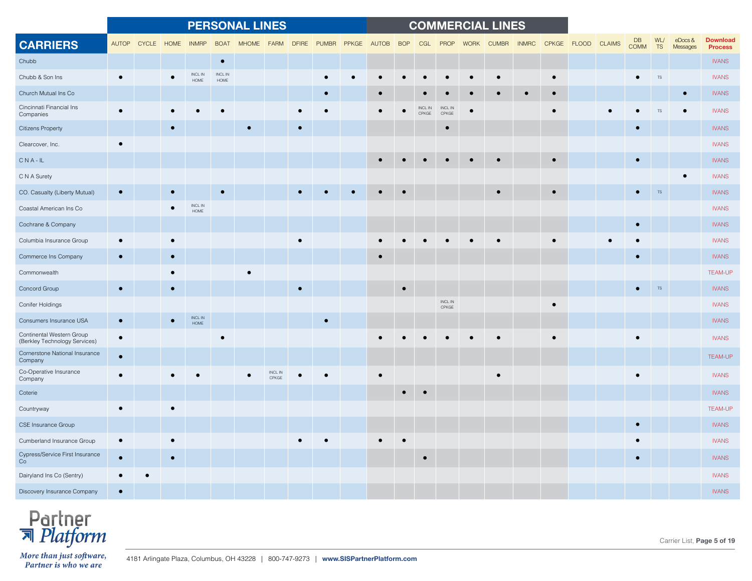|                                                            |              |              |           |                             |                       | <b>PERSONAL LINES</b> |                  |              |             |       |            |                             |                              |             | <b>COMMERCIAL LINES</b> |              |           |             |               |                   |           |                    |                                   |
|------------------------------------------------------------|--------------|--------------|-----------|-----------------------------|-----------------------|-----------------------|------------------|--------------|-------------|-------|------------|-----------------------------|------------------------------|-------------|-------------------------|--------------|-----------|-------------|---------------|-------------------|-----------|--------------------|-----------------------------------|
| <b>CARRIERS</b>                                            | <b>AUTOP</b> | <b>CYCLE</b> | HOME      | <b>INMRP</b>                | <b>BOAT</b>           | <b>MHOME</b>          | <b>FARM</b>      | <b>DFIRE</b> | PUMBR PPKGE | AUTOB | <b>BOP</b> | CGL                         | PROP                         | <b>WORK</b> | <b>CUMBR</b>            | <b>INMRC</b> |           | CPKGE FLOOD | <b>CLAIMS</b> | DB<br><b>COMM</b> | WL/<br>TS | eDocs&<br>Messages | <b>Download</b><br><b>Process</b> |
| Chubb                                                      |              |              |           |                             | $\bullet$             |                       |                  |              |             |       |            |                             |                              |             |                         |              |           |             |               |                   |           |                    | <b>IVANS</b>                      |
| Chubb & Son Ins                                            | $\bullet$    |              |           | INCL IN<br>HOME             | <b>INCLIN</b><br>HOME |                       |                  |              |             |       |            |                             |                              |             |                         |              |           |             |               |                   | $TS$      |                    | <b>IVANS</b>                      |
| Church Mutual Ins Co                                       |              |              |           |                             |                       |                       |                  |              |             |       |            |                             |                              |             |                         |              |           |             |               |                   |           |                    | <b>IVANS</b>                      |
| Cincinnati Financial Ins<br>Companies                      |              |              |           |                             |                       |                       |                  |              |             |       |            | INCL IN<br>$\mathsf{CPKGE}$ | <b>INCLIN</b><br>CPKGE       |             |                         |              |           |             |               |                   | TS        |                    | <b>IVANS</b>                      |
| <b>Citizens Property</b>                                   |              |              |           |                             |                       |                       |                  | $\bullet$    |             |       |            |                             | $\bullet$                    |             |                         |              |           |             |               |                   |           |                    | <b>IVANS</b>                      |
| Clearcover, Inc.                                           | $\bullet$    |              |           |                             |                       |                       |                  |              |             |       |            |                             |                              |             |                         |              |           |             |               |                   |           |                    | <b>IVANS</b>                      |
| $CNA-IL$                                                   |              |              |           |                             |                       |                       |                  |              |             |       |            |                             |                              |             |                         |              |           |             |               | $\bullet$         |           |                    | <b>IVANS</b>                      |
| C N A Surety                                               |              |              |           |                             |                       |                       |                  |              |             |       |            |                             |                              |             |                         |              |           |             |               |                   |           | $\bullet$          | <b>IVANS</b>                      |
| CO. Casualty (Liberty Mutual)                              | $\bullet$    |              |           |                             |                       |                       |                  |              |             |       |            |                             |                              |             |                         |              | $\bullet$ |             |               |                   | <b>TS</b> |                    | <b>IVANS</b>                      |
| Coastal American Ins Co                                    |              |              |           | $\sf INCL$ $\sf IN$<br>HOME |                       |                       |                  |              |             |       |            |                             |                              |             |                         |              |           |             |               |                   |           |                    | <b>IVANS</b>                      |
| Cochrane & Company                                         |              |              |           |                             |                       |                       |                  |              |             |       |            |                             |                              |             |                         |              |           |             |               | $\bullet$         |           |                    | <b>IVANS</b>                      |
| Columbia Insurance Group                                   | $\bullet$    |              |           |                             |                       |                       |                  | $\bullet$    |             |       |            |                             |                              |             |                         |              | $\bullet$ |             |               | $\epsilon$        |           |                    | <b>IVANS</b>                      |
| Commerce Ins Company                                       |              |              |           |                             |                       |                       |                  |              |             |       |            |                             |                              |             |                         |              |           |             |               |                   |           |                    | <b>IVANS</b>                      |
| Commonwealth                                               |              |              |           |                             |                       |                       |                  |              |             |       |            |                             |                              |             |                         |              |           |             |               |                   |           |                    | <b>TEAM-UP</b>                    |
| Concord Group                                              | $\bullet$    |              |           |                             |                       |                       |                  |              |             |       | $\bullet$  |                             |                              |             |                         |              |           |             |               |                   | <b>TS</b> |                    | <b>IVANS</b>                      |
| Conifer Holdings                                           |              |              |           |                             |                       |                       |                  |              |             |       |            |                             | $\sf INCL$ $\sf IN$<br>CPKGE |             |                         |              | $\bullet$ |             |               |                   |           |                    | <b>IVANS</b>                      |
| Consumers Insurance USA                                    | $\bullet$    |              |           | INCL IN<br><b>HOME</b>      |                       |                       |                  |              |             |       |            |                             |                              |             |                         |              |           |             |               |                   |           |                    | <b>IVANS</b>                      |
| Continental Western Group<br>(Berkley Technology Services) | $\bullet$    |              |           |                             | $\bullet$             |                       |                  |              |             |       |            |                             |                              |             |                         |              |           |             |               | $\bullet$         |           |                    | <b>IVANS</b>                      |
| Cornerstone National Insurance<br>Company                  | $\bullet$    |              |           |                             |                       |                       |                  |              |             |       |            |                             |                              |             |                         |              |           |             |               |                   |           |                    | <b>TEAM-UP</b>                    |
| Co-Operative Insurance<br>Company                          | $\bullet$    |              |           |                             |                       |                       | INCL IN<br>CPKGE |              |             |       |            |                             |                              |             |                         |              |           |             |               | $\bullet$         |           |                    | <b>IVANS</b>                      |
| Coterie                                                    |              |              |           |                             |                       |                       |                  |              |             |       | $\bullet$  |                             |                              |             |                         |              |           |             |               |                   |           |                    | <b>IVANS</b>                      |
| Countryway                                                 | $\bullet$    |              | $\bullet$ |                             |                       |                       |                  |              |             |       |            |                             |                              |             |                         |              |           |             |               |                   |           |                    | <b>TEAM-UP</b>                    |
| CSE Insurance Group                                        |              |              |           |                             |                       |                       |                  |              |             |       |            |                             |                              |             |                         |              |           |             |               |                   |           |                    | <b>IVANS</b>                      |
| Cumberland Insurance Group                                 | $\bullet$    |              |           |                             |                       |                       |                  |              |             |       |            |                             |                              |             |                         |              |           |             |               |                   |           |                    | <b>IVANS</b>                      |
| Cypress/Service First Insurance<br>Co                      | $\bullet$    |              |           |                             |                       |                       |                  |              |             |       |            | $\bullet$                   |                              |             |                         |              |           |             |               | $\bullet$         |           |                    | <b>IVANS</b>                      |
| Dairyland Ins Co (Sentry)                                  |              | $\bullet$    |           |                             |                       |                       |                  |              |             |       |            |                             |                              |             |                         |              |           |             |               |                   |           |                    | <b>IVANS</b>                      |
| Discovery Insurance Company                                | $\bullet$    |              |           |                             |                       |                       |                  |              |             |       |            |                             |                              |             |                         |              |           |             |               |                   |           |                    | <b>IVANS</b>                      |



Carrier List, **Page 5 of 19**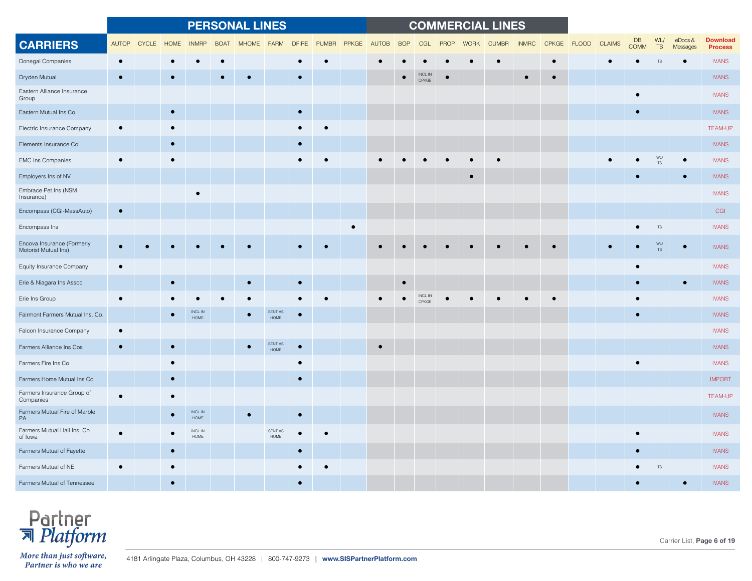|                                                    |              |              |             |                              |             | <b>PERSONAL LINES</b> |                 |              |              |           |       |            |                         |             |             | <b>COMMERCIAL LINES</b> |              |             |               |                   |                            |                        |                                   |
|----------------------------------------------------|--------------|--------------|-------------|------------------------------|-------------|-----------------------|-----------------|--------------|--------------|-----------|-------|------------|-------------------------|-------------|-------------|-------------------------|--------------|-------------|---------------|-------------------|----------------------------|------------------------|-----------------------------------|
| <b>CARRIERS</b>                                    | <b>AUTOP</b> | <b>CYCLE</b> | <b>HOME</b> | <b>INMRF</b>                 | <b>BOAT</b> | <b>MHOME</b>          | <b>FARM</b>     | <b>DFIRE</b> | <b>PUMBR</b> | PPKGE     | AUTOB | <b>BOP</b> | CGL                     | <b>PROP</b> | <b>WORK</b> | <b>CUMBR</b>            | <b>INMRC</b> | CPKGE FLOOD | <b>CLAIMS</b> | DB<br><b>COMM</b> | WL/<br><b>TS</b>           | $e$ Docs &<br>Messages | <b>Download</b><br><b>Process</b> |
| Donegal Companies                                  |              |              |             |                              |             |                       |                 |              |              |           |       |            |                         |             |             |                         |              |             |               |                   | <b>TS</b>                  |                        | <b>IVANS</b>                      |
| Dryden Mutual                                      | $\bullet$    |              |             |                              |             |                       |                 |              |              |           |       |            | <b>INCL IN</b><br>CPKGE |             |             |                         |              |             |               |                   |                            |                        | <b>IVANS</b>                      |
| Eastern Alliance Insurance<br>Group                |              |              |             |                              |             |                       |                 |              |              |           |       |            |                         |             |             |                         |              |             |               |                   |                            |                        | <b>IVANS</b>                      |
| Eastern Mutual Ins Co                              |              |              | $\bullet$   |                              |             |                       |                 | $\bullet$    |              |           |       |            |                         |             |             |                         |              |             |               |                   |                            |                        | <b>IVANS</b>                      |
| Electric Insurance Company                         |              |              |             |                              |             |                       |                 |              |              |           |       |            |                         |             |             |                         |              |             |               |                   |                            |                        | <b>TEAM-UP</b>                    |
| Elements Insurance Co                              |              |              |             |                              |             |                       |                 |              |              |           |       |            |                         |             |             |                         |              |             |               |                   |                            |                        | <b>IVANS</b>                      |
| <b>EMC</b> Ins Companies                           | $\bullet$    |              |             |                              |             |                       |                 |              |              |           |       |            |                         |             |             |                         |              |             |               |                   | <b>WL</b><br>$\mathsf{TS}$ |                        | <b>IVANS</b>                      |
| Employers Ins of NV                                |              |              |             |                              |             |                       |                 |              |              |           |       |            |                         |             |             |                         |              |             |               |                   |                            |                        | <b>IVANS</b>                      |
| Embrace Pet Ins (NSM<br>Insurance)                 |              |              |             |                              |             |                       |                 |              |              |           |       |            |                         |             |             |                         |              |             |               |                   |                            |                        | <b>IVANS</b>                      |
| Encompass (CGI-MassAuto)                           | $\bullet$    |              |             |                              |             |                       |                 |              |              |           |       |            |                         |             |             |                         |              |             |               |                   |                            |                        | CGI                               |
| Encompass Ins                                      |              |              |             |                              |             |                       |                 |              |              | $\bullet$ |       |            |                         |             |             |                         |              |             |               |                   | TS                         |                        | <b>IVANS</b>                      |
| Encova Insurance (Formerly<br>Motorist Mutual Ins) |              |              |             |                              |             |                       |                 |              |              |           |       |            |                         |             |             |                         |              |             |               |                   | WL/<br><b>TS</b>           |                        | <b>IVANS</b>                      |
| Equity Insurance Company                           | $\bullet$    |              |             |                              |             |                       |                 |              |              |           |       |            |                         |             |             |                         |              |             |               |                   |                            |                        | <b>IVANS</b>                      |
| Erie & Niagara Ins Assoc                           |              |              |             |                              |             |                       |                 |              |              |           |       |            |                         |             |             |                         |              |             |               |                   |                            |                        | <b>IVANS</b>                      |
| Erie Ins Group                                     |              |              |             |                              |             |                       |                 |              |              |           |       |            | <b>INCL IN</b><br>CPKGE |             |             |                         |              |             |               |                   |                            |                        | <b>IVANS</b>                      |
| Fairmont Farmers Mutual Ins. Co.                   |              |              |             | <b>INCLIN</b><br><b>HOME</b> |             |                       | SENT AS<br>HOME |              |              |           |       |            |                         |             |             |                         |              |             |               |                   |                            |                        | <b>IVANS</b>                      |
| Falcon Insurance Company                           | $\bullet$    |              |             |                              |             |                       |                 |              |              |           |       |            |                         |             |             |                         |              |             |               |                   |                            |                        | <b>IVANS</b>                      |
| Farmers Alliance Ins Cos                           |              |              |             |                              |             |                       | SENT AS<br>HOME | $\bullet$    |              |           |       |            |                         |             |             |                         |              |             |               |                   |                            |                        | <b>IVANS</b>                      |
| Farmers Fire Ins Co                                |              |              |             |                              |             |                       |                 | $\bullet$    |              |           |       |            |                         |             |             |                         |              |             |               |                   |                            |                        | <b>IVANS</b>                      |
| Farmers Home Mutual Ins Co                         |              |              |             |                              |             |                       |                 | $\bullet$    |              |           |       |            |                         |             |             |                         |              |             |               |                   |                            |                        | <b>IMPORT</b>                     |
| Farmers Insurance Group of<br>Companies            |              |              |             |                              |             |                       |                 |              |              |           |       |            |                         |             |             |                         |              |             |               |                   |                            |                        | <b>TEAM-UP</b>                    |
| Farmers Mutual Fire of Marble<br>PA                |              |              |             | <b>INCLIN</b><br>HOME        |             |                       |                 | $\bullet$    |              |           |       |            |                         |             |             |                         |              |             |               |                   |                            |                        | <b>IVANS</b>                      |
| Farmers Mutual Hail Ins. Co<br>of lowa             |              |              |             | INCL IN<br><b>HOME</b>       |             |                       | SENT AS<br>HOME |              |              |           |       |            |                         |             |             |                         |              |             |               |                   |                            |                        | <b>IVANS</b>                      |
| Farmers Mutual of Fayette                          |              |              |             |                              |             |                       |                 |              |              |           |       |            |                         |             |             |                         |              |             |               |                   |                            |                        | <b>IVANS</b>                      |
| Farmers Mutual of NE                               |              |              |             |                              |             |                       |                 |              |              |           |       |            |                         |             |             |                         |              |             |               |                   | <b>TS</b>                  |                        | <b>IVANS</b>                      |
| Farmers Mutual of Tennessee                        |              |              |             |                              |             |                       |                 |              |              |           |       |            |                         |             |             |                         |              |             |               |                   |                            |                        | <b>IVANS</b>                      |



Carrier List, **Page 6 of 19**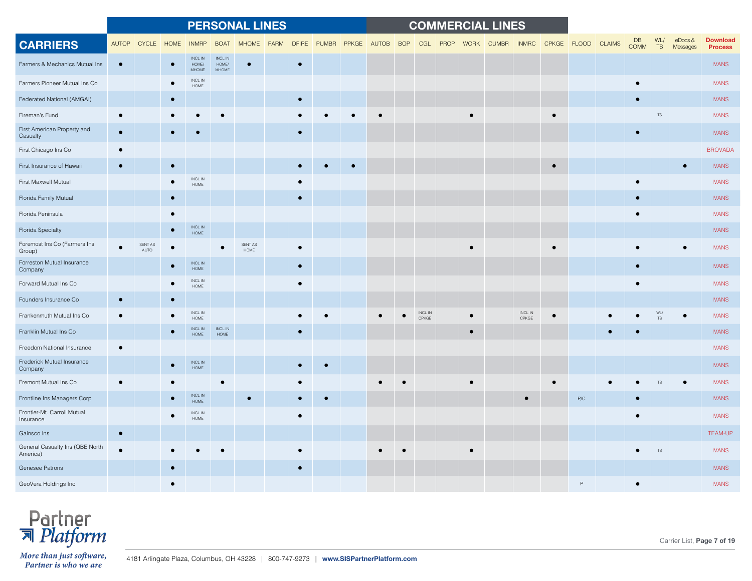|                                             |           |                            |           |                                        |                                 | <b>PERSONAL LINES</b>  |             |           |                   |           |                        |      |           | <b>COMMERCIAL LINES</b> |                  |             |     |               |                   |               |                           |                                   |
|---------------------------------------------|-----------|----------------------------|-----------|----------------------------------------|---------------------------------|------------------------|-------------|-----------|-------------------|-----------|------------------------|------|-----------|-------------------------|------------------|-------------|-----|---------------|-------------------|---------------|---------------------------|-----------------------------------|
| <b>CARRIERS</b>                             |           | AUTOP CYCLE                | HOME      | <b>INMRP</b>                           | <b>BOAT</b>                     | <b>MHOME</b>           | <b>FARM</b> |           | DFIRE PUMBR PPKGE | AUTOB BOP | CGL                    | PROP |           | WORK CUMBR INMRC        |                  | CPKGE FLOOD |     | <b>CLAIMS</b> | DB<br><b>COMM</b> | WL/<br>TS     | $e$ Docs $\&$<br>Messages | <b>Download</b><br><b>Process</b> |
| Farmers & Mechanics Mutual Ins              |           |                            |           | <b>INCLIN</b><br>HOME/<br><b>MHOME</b> | <b>INCLIN</b><br>HOME/<br>MHOME |                        |             | $\bullet$ |                   |           |                        |      |           |                         |                  |             |     |               |                   |               |                           | <b>IVANS</b>                      |
| Farmers Pioneer Mutual Ins Co               |           |                            |           | <b>INCLIN</b><br>HOME                  |                                 |                        |             |           |                   |           |                        |      |           |                         |                  |             |     |               |                   |               |                           | <b>IVANS</b>                      |
| Federated National (AMGAI)                  |           |                            | $\bullet$ |                                        |                                 |                        |             | $\bullet$ |                   |           |                        |      |           |                         |                  |             |     |               |                   |               |                           | <b>IVANS</b>                      |
| Fireman's Fund                              |           |                            |           |                                        |                                 |                        |             |           |                   |           |                        |      |           |                         |                  | $\bullet$   |     |               |                   | <b>TS</b>     |                           | <b>IVANS</b>                      |
| First American Property and<br>Casualty     | $\bullet$ |                            |           |                                        |                                 |                        |             | $\bullet$ |                   |           |                        |      |           |                         |                  |             |     |               | $\bullet$         |               |                           | <b>IVANS</b>                      |
| First Chicago Ins Co                        |           |                            |           |                                        |                                 |                        |             |           |                   |           |                        |      |           |                         |                  |             |     |               |                   |               |                           | <b>BROVADA</b>                    |
| First Insurance of Hawaii                   |           |                            |           |                                        |                                 |                        |             |           |                   |           |                        |      |           |                         |                  |             |     |               |                   |               |                           | <b>IVANS</b>                      |
| First Maxwell Mutual                        |           |                            |           | $\sf INCL$ $\sf IN$<br>HOME            |                                 |                        |             |           |                   |           |                        |      |           |                         |                  |             |     |               |                   |               |                           | <b>IVANS</b>                      |
| Florida Family Mutual                       |           |                            |           |                                        |                                 |                        |             | $\bullet$ |                   |           |                        |      |           |                         |                  |             |     |               | $\bullet$         |               |                           | <b>IVANS</b>                      |
| Florida Peninsula                           |           |                            |           |                                        |                                 |                        |             |           |                   |           |                        |      |           |                         |                  |             |     |               |                   |               |                           | <b>IVANS</b>                      |
| <b>Florida Specialty</b>                    |           |                            |           | INCL IN<br><b>HOME</b>                 |                                 |                        |             |           |                   |           |                        |      |           |                         |                  |             |     |               |                   |               |                           | <b>IVANS</b>                      |
| Foremost Ins Co (Farmers Ins<br>Group)      |           | SENT AS<br>$\mathsf{AUTO}$ |           |                                        | $\bullet$                       | SENT AS<br><b>HOME</b> |             | $\bullet$ |                   |           |                        |      |           |                         |                  |             |     |               |                   |               |                           | <b>IVANS</b>                      |
| Forreston Mutual Insurance<br>Company       |           |                            |           | INCL IN<br><b>HOME</b>                 |                                 |                        |             | $\bullet$ |                   |           |                        |      |           |                         |                  |             |     |               |                   |               |                           | <b>IVANS</b>                      |
| Forward Mutual Ins Co                       |           |                            |           | $\sf INCL$ $\sf IN$<br>HOME            |                                 |                        |             | $\bullet$ |                   |           |                        |      |           |                         |                  |             |     |               |                   |               |                           | <b>IVANS</b>                      |
| Founders Insurance Co                       |           |                            |           |                                        |                                 |                        |             |           |                   |           |                        |      |           |                         |                  |             |     |               |                   |               |                           | <b>IVANS</b>                      |
| Frankenmuth Mutual Ins Co                   |           |                            |           | INCL IN<br>HOME                        |                                 |                        |             |           |                   |           | <b>INCLIN</b><br>CPKGE |      |           |                         | INCL IN<br>CPKGE |             |     |               |                   | WI            |                           | <b>IVANS</b>                      |
| Franklin Mutual Ins Co                      |           |                            |           | <b>INCL IN</b><br>HOME                 | INCL IN<br>HOME                 |                        |             | $\bullet$ |                   |           |                        |      | $\bullet$ |                         |                  |             |     |               |                   |               |                           | <b>IVANS</b>                      |
| Freedom National Insurance                  |           |                            |           |                                        |                                 |                        |             |           |                   |           |                        |      |           |                         |                  |             |     |               |                   |               |                           | <b>IVANS</b>                      |
| Frederick Mutual Insurance<br>Company       |           |                            |           | $\sf INCL$ $\sf IN$<br><b>HOME</b>     |                                 |                        |             |           |                   |           |                        |      |           |                         |                  |             |     |               |                   |               |                           | <b>IVANS</b>                      |
| Fremont Mutual Ins Co                       |           |                            |           |                                        |                                 |                        |             |           |                   |           |                        |      |           |                         |                  |             |     |               |                   |               |                           | <b>IVANS</b>                      |
| Frontline Ins Managers Corp                 |           |                            |           | $\sf INCL$ $\sf IN$<br>HOME            |                                 |                        |             |           |                   |           |                        |      |           |                         |                  |             | P/C |               |                   |               |                           | <b>IVANS</b>                      |
| Frontier-Mt. Carroll Mutual<br>Insurance    |           |                            |           | INCL IN<br>HOME                        |                                 |                        |             | $\bullet$ |                   |           |                        |      |           |                         |                  |             |     |               |                   |               |                           | <b>IVANS</b>                      |
| Gainsco Ins                                 |           |                            |           |                                        |                                 |                        |             |           |                   |           |                        |      |           |                         |                  |             |     |               |                   |               |                           | <b>TEAM-UP</b>                    |
| General Casualty Ins (QBE North<br>America) |           |                            |           |                                        |                                 |                        |             | $\bullet$ |                   |           |                        |      |           |                         |                  |             |     |               |                   | $\mathsf{TS}$ |                           | <b>IVANS</b>                      |
| Genesee Patrons                             |           |                            |           |                                        |                                 |                        |             |           |                   |           |                        |      |           |                         |                  |             |     |               |                   |               |                           | <b>IVANS</b>                      |
| GeoVera Holdings Inc                        |           |                            |           |                                        |                                 |                        |             |           |                   |           |                        |      |           |                         |                  |             |     |               |                   |               |                           | <b>IVANS</b>                      |



Carrier List, **Page 7 of 19**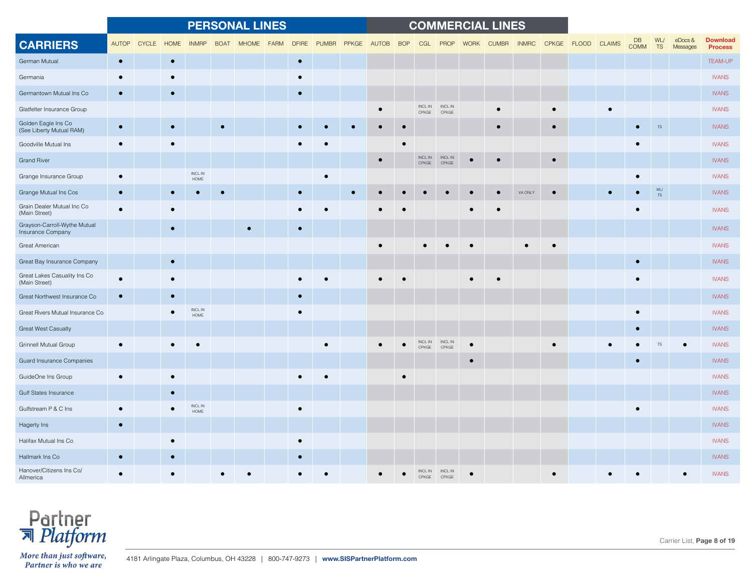|                                                   |              |              |           |                             |             | <b>PERSONAL LINES</b> |             |              |              |       |           |            |                         |                                                                                                                           |             | <b>COMMERCIAL LINES</b> |              |           |             |               |                   |                  |                        |                                   |
|---------------------------------------------------|--------------|--------------|-----------|-----------------------------|-------------|-----------------------|-------------|--------------|--------------|-------|-----------|------------|-------------------------|---------------------------------------------------------------------------------------------------------------------------|-------------|-------------------------|--------------|-----------|-------------|---------------|-------------------|------------------|------------------------|-----------------------------------|
| <b>CARRIERS</b>                                   | <b>AUTOP</b> | <b>CYCLE</b> | HOME      | <b>INMRP</b>                | <b>BOAT</b> | <b>MHOME</b>          | <b>FARM</b> | <b>DFIRE</b> | <b>PUMBR</b> | PPKGE | AUTOB     | <b>BOP</b> | CGL                     | PROP                                                                                                                      | <b>WORK</b> | <b>CUMBR</b>            | <b>INMRC</b> |           | CPKGE FLOOD | <b>CLAIMS</b> | <b>DB</b><br>COMM | WL/<br><b>TS</b> | $e$ Docs &<br>Messages | <b>Download</b><br><b>Process</b> |
| German Mutual                                     | $\bullet$    |              | $\bullet$ |                             |             |                       |             | $\bullet$    |              |       |           |            |                         |                                                                                                                           |             |                         |              |           |             |               |                   |                  |                        | <b>TEAM-UP</b>                    |
| Germania                                          |              |              |           |                             |             |                       |             | $\bullet$    |              |       |           |            |                         |                                                                                                                           |             |                         |              |           |             |               |                   |                  |                        | <b>IVANS</b>                      |
| Germantown Mutual Ins Co                          |              |              |           |                             |             |                       |             | $\bullet$    |              |       |           |            |                         |                                                                                                                           |             |                         |              |           |             |               |                   |                  |                        | <b>IVANS</b>                      |
| Glatfelter Insurance Group                        |              |              |           |                             |             |                       |             |              |              |       |           |            | CPKGE                   | $\begin{tabular}{ll} \bf{INCL} \, \color{red}{IN} \qquad \quad \  \  \bf{INCL} \, \color{red}{IN} \end{tabular}$<br>CPKGE |             |                         |              |           |             |               |                   |                  |                        | <b>IVANS</b>                      |
| Golden Eagle Ins Co<br>(See Liberty Mutual RAM)   | $\bullet$    |              |           |                             | $\bullet$   |                       |             |              |              |       |           |            |                         |                                                                                                                           |             |                         |              |           |             |               |                   | <b>TS</b>        |                        | <b>IVANS</b>                      |
| Goodville Mutual Ins                              |              |              |           |                             |             |                       |             |              |              |       |           |            |                         |                                                                                                                           |             |                         |              |           |             |               |                   |                  |                        | <b>IVANS</b>                      |
| <b>Grand River</b>                                |              |              |           |                             |             |                       |             |              |              |       | $\bullet$ |            | INCL IN<br>CPKGE        | INCL IN<br>CPKGE                                                                                                          |             | $\bullet$               |              | $\bullet$ |             |               |                   |                  |                        | <b>IVANS</b>                      |
| Grange Insurance Group                            | $\bullet$    |              |           | $\sf INCL$ $\sf IN$<br>HOME |             |                       |             |              |              |       |           |            |                         |                                                                                                                           |             |                         |              |           |             |               |                   |                  |                        | <b>IVANS</b>                      |
| Grange Mutual Ins Cos                             |              |              |           |                             |             |                       |             |              |              |       |           |            |                         |                                                                                                                           |             |                         | VA ONL'      |           |             |               |                   | WL/<br><b>TS</b> |                        | <b>IVANS</b>                      |
| Grain Dealer Mutual Inc Co<br>(Main Street)       |              |              |           |                             |             |                       |             |              |              |       |           |            |                         |                                                                                                                           |             |                         |              |           |             |               |                   |                  |                        | <b>IVANS</b>                      |
| Grayson-Carroll-Wythe Mutual<br>Insurance Company |              |              | $\bullet$ |                             |             |                       |             |              |              |       |           |            |                         |                                                                                                                           |             |                         |              |           |             |               |                   |                  |                        | <b>IVANS</b>                      |
| Great American                                    |              |              |           |                             |             |                       |             |              |              |       |           |            |                         |                                                                                                                           |             |                         |              |           |             |               |                   |                  |                        | <b>IVANS</b>                      |
| Great Bay Insurance Company                       |              |              |           |                             |             |                       |             |              |              |       |           |            |                         |                                                                                                                           |             |                         |              |           |             |               |                   |                  |                        | <b>IVANS</b>                      |
| Great Lakes Casuality Ins Co<br>(Main Street)     |              |              |           |                             |             |                       |             |              |              |       |           |            |                         |                                                                                                                           |             |                         |              |           |             |               |                   |                  |                        | <b>IVANS</b>                      |
| Great Northwest Insurance Co                      |              |              |           |                             |             |                       |             |              |              |       |           |            |                         |                                                                                                                           |             |                         |              |           |             |               |                   |                  |                        | <b>IVANS</b>                      |
| Great Rivers Mutual Insurance Co                  |              |              |           | INCL IN<br>HOME             |             |                       |             | $\bullet$    |              |       |           |            |                         |                                                                                                                           |             |                         |              |           |             |               |                   |                  |                        | <b>IVANS</b>                      |
| <b>Great West Casualty</b>                        |              |              |           |                             |             |                       |             |              |              |       |           |            |                         |                                                                                                                           |             |                         |              |           |             |               |                   |                  |                        | <b>IVANS</b>                      |
| <b>Grinnell Mutual Group</b>                      |              |              |           |                             |             |                       |             |              |              |       |           |            | INCL IN<br>CPKGE        | INCL IN<br>CPKGE                                                                                                          |             |                         |              |           |             |               |                   |                  |                        | <b>IVANS</b>                      |
| Guard Insurance Companies                         |              |              |           |                             |             |                       |             |              |              |       |           |            |                         |                                                                                                                           |             |                         |              |           |             |               |                   |                  |                        | <b>IVANS</b>                      |
| GuideOne Ins Group                                |              |              |           |                             |             |                       |             |              |              |       |           |            |                         |                                                                                                                           |             |                         |              |           |             |               |                   |                  |                        | <b>IVANS</b>                      |
| <b>Gulf States Insurance</b>                      |              |              |           |                             |             |                       |             |              |              |       |           |            |                         |                                                                                                                           |             |                         |              |           |             |               |                   |                  |                        | <b>IVANS</b>                      |
| Gulfstream P & C Ins                              |              |              |           | <b>INCLIN</b><br>HOME       |             |                       |             | $\bullet$    |              |       |           |            |                         |                                                                                                                           |             |                         |              |           |             |               |                   |                  |                        | <b>IVANS</b>                      |
| Hagerty Ins                                       | $\bullet$    |              |           |                             |             |                       |             |              |              |       |           |            |                         |                                                                                                                           |             |                         |              |           |             |               |                   |                  |                        | <b>IVANS</b>                      |
| Halifax Mutual Ins Co                             |              |              |           |                             |             |                       |             | $\bullet$    |              |       |           |            |                         |                                                                                                                           |             |                         |              |           |             |               |                   |                  |                        | <b>IVANS</b>                      |
| Hallmark Ins Co                                   |              |              |           |                             |             |                       |             |              |              |       |           |            |                         |                                                                                                                           |             |                         |              |           |             |               |                   |                  |                        | <b>IVANS</b>                      |
| Hanover/Citizens Ins Co/<br>Allmerica             |              |              |           |                             |             |                       |             |              |              |       |           |            | <b>INCL IN</b><br>CPKGF | <b>INCL IN</b><br>CPKGE                                                                                                   |             |                         |              |           |             |               |                   |                  |                        | <b>IVANS</b>                      |

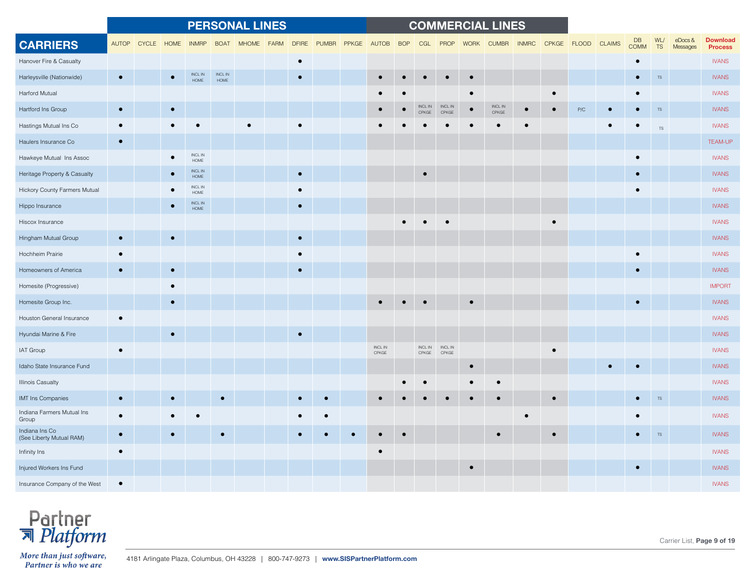|                                            |           |             |           |                                    |                              | <b>PERSONAL LINES</b> |             |              |              |       |                              |            |                  |                                                                                                                             |             | <b>COMMERCIAL LINES</b>      |              |           |                         |               |                   |                  |                           |                                   |
|--------------------------------------------|-----------|-------------|-----------|------------------------------------|------------------------------|-----------------------|-------------|--------------|--------------|-------|------------------------------|------------|------------------|-----------------------------------------------------------------------------------------------------------------------------|-------------|------------------------------|--------------|-----------|-------------------------|---------------|-------------------|------------------|---------------------------|-----------------------------------|
| <b>CARRIERS</b>                            |           | AUTOP CYCLE | HOME      | <b>INMRP</b>                       | <b>BOAT</b>                  | <b>MHOME</b>          | <b>FARM</b> | <b>DFIRE</b> | <b>PUMBR</b> | PPKGE | <b>AUTOB</b>                 | <b>BOP</b> | CGL              | PROP                                                                                                                        | <b>WORK</b> | <b>CUMBR</b>                 | <b>INMRC</b> |           | CPKGE FLOOD             | <b>CLAIMS</b> | DB<br><b>COMM</b> | WL/<br><b>TS</b> | $e$ Docs $\&$<br>Messages | <b>Download</b><br><b>Process</b> |
| Hanover Fire & Casualty                    |           |             |           |                                    |                              |                       |             | $\bullet$    |              |       |                              |            |                  |                                                                                                                             |             |                              |              |           |                         |               | $\bullet$         |                  |                           | <b>IVANS</b>                      |
| Harleysville (Nationwide)                  | $\bullet$ |             |           | <b>INCLIN</b><br><b>HOME</b>       | <b>INCLIN</b><br><b>HOME</b> |                       |             | $\bullet$    |              |       |                              |            |                  |                                                                                                                             | $\bullet$   |                              |              |           |                         |               | $\bullet$         | $TS$             |                           | <b>IVANS</b>                      |
| Harford Mutual                             |           |             |           |                                    |                              |                       |             |              |              |       |                              |            |                  |                                                                                                                             |             |                              |              |           |                         |               |                   |                  |                           | <b>IVANS</b>                      |
| Hartford Ins Group                         | $\bullet$ |             | $\bullet$ |                                    |                              |                       |             |              |              |       |                              |            | INCL IN<br>CPKGE | INCL IN<br>CPKGE                                                                                                            |             | $\sf INCL$ $\sf IN$<br>CPKGE |              |           | $\mathsf{P}/\mathbb{C}$ |               |                   | TS               |                           | <b>IVANS</b>                      |
| Hastings Mutual Ins Co                     |           |             |           |                                    |                              |                       |             |              |              |       |                              |            |                  |                                                                                                                             |             |                              |              |           |                         |               |                   | TS               |                           | <b>IVANS</b>                      |
| Haulers Insurance Co                       | $\bullet$ |             |           |                                    |                              |                       |             |              |              |       |                              |            |                  |                                                                                                                             |             |                              |              |           |                         |               |                   |                  |                           | <b>TEAM-UP</b>                    |
| Hawkeye Mutual Ins Assoc                   |           |             |           | INCL IN<br>$\sf{HOME}$             |                              |                       |             |              |              |       |                              |            |                  |                                                                                                                             |             |                              |              |           |                         |               |                   |                  |                           | <b>IVANS</b>                      |
| Heritage Property & Casualty               |           |             |           | INCL IN<br><b>HOME</b>             |                              |                       |             | $\bullet$    |              |       |                              |            | $\bullet$        |                                                                                                                             |             |                              |              |           |                         |               | $\bullet$         |                  |                           | <b>IVANS</b>                      |
| Hickory County Farmers Mutual              |           |             |           | $\sf INCL$ $\sf IN$<br><b>HOME</b> |                              |                       |             |              |              |       |                              |            |                  |                                                                                                                             |             |                              |              |           |                         |               |                   |                  |                           | <b>IVANS</b>                      |
| Hippo Insurance                            |           |             |           | $\sf INCL$ $\sf IN$<br>HOME        |                              |                       |             | $\bullet$    |              |       |                              |            |                  |                                                                                                                             |             |                              |              |           |                         |               |                   |                  |                           | <b>IVANS</b>                      |
| Hiscox Insurance                           |           |             |           |                                    |                              |                       |             |              |              |       |                              |            |                  |                                                                                                                             |             |                              |              |           |                         |               |                   |                  |                           | <b>IVANS</b>                      |
| Hingham Mutual Group                       | $\bullet$ |             | $\bullet$ |                                    |                              |                       |             | $\bullet$    |              |       |                              |            |                  |                                                                                                                             |             |                              |              |           |                         |               |                   |                  |                           | <b>IVANS</b>                      |
| Hochheim Prairie                           |           |             |           |                                    |                              |                       |             | $\bullet$    |              |       |                              |            |                  |                                                                                                                             |             |                              |              |           |                         |               |                   |                  |                           | <b>IVANS</b>                      |
| Homeowners of America                      | $\bullet$ |             |           |                                    |                              |                       |             | $\bullet$    |              |       |                              |            |                  |                                                                                                                             |             |                              |              |           |                         |               | $\bullet$         |                  |                           | <b>IVANS</b>                      |
| Homesite (Progressive)                     |           |             |           |                                    |                              |                       |             |              |              |       |                              |            |                  |                                                                                                                             |             |                              |              |           |                         |               |                   |                  |                           | <b>IMPORT</b>                     |
| Homesite Group Inc.                        |           |             |           |                                    |                              |                       |             |              |              |       |                              |            |                  |                                                                                                                             |             |                              |              |           |                         |               |                   |                  |                           | <b>IVANS</b>                      |
| Houston General Insurance                  | $\bullet$ |             |           |                                    |                              |                       |             |              |              |       |                              |            |                  |                                                                                                                             |             |                              |              |           |                         |               |                   |                  |                           | <b>IVANS</b>                      |
| Hyundai Marine & Fire                      |           |             | $\bullet$ |                                    |                              |                       |             | $\bullet$    |              |       |                              |            |                  |                                                                                                                             |             |                              |              |           |                         |               |                   |                  |                           | <b>IVANS</b>                      |
| IAT Group                                  | $\bullet$ |             |           |                                    |                              |                       |             |              |              |       | $\sf INCL$ $\sf IN$<br>CPKGE |            | CPKGE            | $\begin{tabular}{ll} \bf{INCL} \, \color{black} IN & \color{black} \bf{INCL} \, \color{black} IN \\ \end{tabular}$<br>CPKGE |             |                              |              |           |                         |               |                   |                  |                           | <b>IVANS</b>                      |
| Idaho State Insurance Fund                 |           |             |           |                                    |                              |                       |             |              |              |       |                              |            |                  |                                                                                                                             |             |                              |              |           |                         |               |                   |                  |                           | <b>IVANS</b>                      |
| <b>Illinois Casualty</b>                   |           |             |           |                                    |                              |                       |             |              |              |       |                              |            |                  |                                                                                                                             |             |                              |              |           |                         |               |                   |                  |                           | <b>IVANS</b>                      |
| <b>IMT Ins Companies</b>                   | $\bullet$ |             |           |                                    | $\bullet$                    |                       |             |              |              |       |                              |            |                  |                                                                                                                             |             |                              |              | $\bullet$ |                         |               |                   | <b>TS</b>        |                           | <b>IVANS</b>                      |
| Indiana Farmers Mutual Ins<br>Group        |           |             |           |                                    |                              |                       |             |              |              |       |                              |            |                  |                                                                                                                             |             |                              |              |           |                         |               |                   |                  |                           | <b>IVANS</b>                      |
| Indiana Ins Co<br>(See Liberty Mutual RAM) |           |             |           |                                    |                              |                       |             |              |              |       |                              |            |                  |                                                                                                                             |             |                              |              | $\bullet$ |                         |               |                   | <b>TS</b>        |                           | <b>IVANS</b>                      |
| Infinity Ins                               | $\bullet$ |             |           |                                    |                              |                       |             |              |              |       |                              |            |                  |                                                                                                                             |             |                              |              |           |                         |               |                   |                  |                           | <b>IVANS</b>                      |
| Injured Workers Ins Fund                   |           |             |           |                                    |                              |                       |             |              |              |       |                              |            |                  |                                                                                                                             |             |                              |              |           |                         |               | $\bullet$         |                  |                           | <b>IVANS</b>                      |
| Insurance Company of the West              | $\bullet$ |             |           |                                    |                              |                       |             |              |              |       |                              |            |                  |                                                                                                                             |             |                              |              |           |                         |               |                   |                  |                           | <b>IVANS</b>                      |



Carrier List, **Page 9 of 19**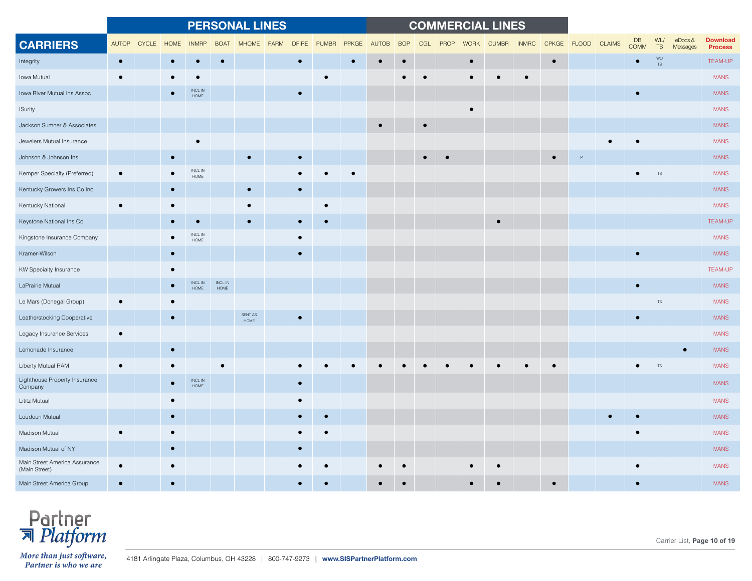|                                                |              |              |             |                                    |                 | <b>PERSONAL LINES</b>  |             |              |              |              |              |            |           |      |             | <b>COMMERCIAL LINES</b> |              |              |              |               |                   |                  |                        |                                   |
|------------------------------------------------|--------------|--------------|-------------|------------------------------------|-----------------|------------------------|-------------|--------------|--------------|--------------|--------------|------------|-----------|------|-------------|-------------------------|--------------|--------------|--------------|---------------|-------------------|------------------|------------------------|-----------------------------------|
| <b>CARRIERS</b>                                | <b>AUTOP</b> | <b>CYCLE</b> | <b>HOME</b> | <b>INMRP</b>                       | <b>BOAT</b>     | <b>MHOME</b>           | <b>FARM</b> | <b>DFIRE</b> | <b>PUMBR</b> | <b>PPKGE</b> | <b>AUTOB</b> | <b>BOP</b> | CGL       | PROP | <b>WORK</b> | <b>CUMBR</b>            | <b>INMRC</b> | <b>CPKGE</b> | <b>FLOOD</b> | <b>CLAIMS</b> | DB<br><b>COMM</b> | WL/<br><b>TS</b> | $e$ Docs &<br>Messages | <b>Download</b><br><b>Process</b> |
| Integrity                                      | $\bullet$    |              | $\bullet$   | $\bullet$                          | $\bullet$       |                        |             | $\bullet$    |              | $\bullet$    | $\bullet$    |            |           |      | $\bullet$   |                         |              | $\bullet$    |              |               | $\bullet$         | WL/<br><b>TS</b> |                        | <b>TEAM-UP</b>                    |
| Iowa Mutual                                    |              |              |             |                                    |                 |                        |             |              |              |              |              |            |           |      |             |                         |              |              |              |               |                   |                  |                        | <b>IVANS</b>                      |
| Iowa River Mutual Ins Assoc                    |              |              |             | <b>INCL IN</b><br>HOME             |                 |                        |             | $\bullet$    |              |              |              |            |           |      |             |                         |              |              |              |               |                   |                  |                        | <b>IVANS</b>                      |
| <b>ISurity</b>                                 |              |              |             |                                    |                 |                        |             |              |              |              |              |            |           |      |             |                         |              |              |              |               |                   |                  |                        | <b>IVANS</b>                      |
| Jackson Sumner & Associates                    |              |              |             |                                    |                 |                        |             |              |              |              |              |            | $\bullet$ |      |             |                         |              |              |              |               |                   |                  |                        | <b>IVANS</b>                      |
| Jewelers Mutual Insurance                      |              |              |             |                                    |                 |                        |             |              |              |              |              |            |           |      |             |                         |              |              |              |               |                   |                  |                        | <b>IVANS</b>                      |
| Johnson & Johnson Ins                          |              |              |             |                                    |                 |                        |             |              |              |              |              |            |           |      |             |                         |              |              |              |               |                   |                  |                        | <b>IVANS</b>                      |
| Kemper Specialty (Preferred)                   | $\bullet$    |              |             | INCL IN<br><b>HOME</b>             |                 |                        |             |              |              | $\bullet$    |              |            |           |      |             |                         |              |              |              |               |                   | <b>TS</b>        |                        | <b>IVANS</b>                      |
| Kentucky Growers Ins Co Inc                    |              |              |             |                                    |                 |                        |             |              |              |              |              |            |           |      |             |                         |              |              |              |               |                   |                  |                        | <b>IVANS</b>                      |
| Kentucky National                              |              |              |             |                                    |                 |                        |             |              |              |              |              |            |           |      |             |                         |              |              |              |               |                   |                  |                        | <b>IVANS</b>                      |
| Keystone National Ins Co                       |              |              |             |                                    |                 |                        |             |              |              |              |              |            |           |      |             | $\bullet$               |              |              |              |               |                   |                  |                        | <b>TEAM-UP</b>                    |
| Kingstone Insurance Company                    |              |              |             | INCL IN<br><b>HOME</b>             |                 |                        |             | $\bullet$    |              |              |              |            |           |      |             |                         |              |              |              |               |                   |                  |                        | <b>IVANS</b>                      |
| Kramer-Wilson                                  |              |              |             |                                    |                 |                        |             | $\bullet$    |              |              |              |            |           |      |             |                         |              |              |              |               |                   |                  |                        | <b>IVANS</b>                      |
| KW Specialty Insurance                         |              |              |             |                                    |                 |                        |             |              |              |              |              |            |           |      |             |                         |              |              |              |               |                   |                  |                        | <b>TEAM-UP</b>                    |
| LaPrairie Mutual                               |              |              |             | $\sf INCL$ $\sf IN$<br><b>HOME</b> | INCL IN<br>HOME |                        |             |              |              |              |              |            |           |      |             |                         |              |              |              |               | $\bullet$         |                  |                        | <b>IVANS</b>                      |
| Le Mars (Donegal Group)                        |              |              |             |                                    |                 |                        |             |              |              |              |              |            |           |      |             |                         |              |              |              |               |                   | <b>TS</b>        |                        | <b>IVANS</b>                      |
| Leatherstocking Cooperative                    |              |              | $\bullet$   |                                    |                 | SENT AS<br><b>HOME</b> |             | $\bullet$    |              |              |              |            |           |      |             |                         |              |              |              |               |                   |                  |                        | <b>IVANS</b>                      |
| Legacy Insurance Services                      |              |              |             |                                    |                 |                        |             |              |              |              |              |            |           |      |             |                         |              |              |              |               |                   |                  |                        | <b>IVANS</b>                      |
| Lemonade Insurance                             |              |              | $\bullet$   |                                    |                 |                        |             |              |              |              |              |            |           |      |             |                         |              |              |              |               |                   |                  |                        | <b>IVANS</b>                      |
| Liberty Mutual RAM                             |              |              |             |                                    |                 |                        |             |              |              |              |              |            |           |      |             |                         |              |              |              |               |                   | <b>TS</b>        |                        | <b>IVANS</b>                      |
| Lighthouse Property Insurance<br>Company       |              |              |             | $\sf INCL$ $\sf IN$<br><b>HOME</b> |                 |                        |             | $\bullet$    |              |              |              |            |           |      |             |                         |              |              |              |               |                   |                  |                        | <b>IVANS</b>                      |
| Lititz Mutual                                  |              |              |             |                                    |                 |                        |             | $\bullet$    |              |              |              |            |           |      |             |                         |              |              |              |               |                   |                  |                        | <b>IVANS</b>                      |
| Loudoun Mutual                                 |              |              |             |                                    |                 |                        |             |              |              |              |              |            |           |      |             |                         |              |              |              |               |                   |                  |                        | <b>IVANS</b>                      |
| Madison Mutual                                 |              |              |             |                                    |                 |                        |             |              |              |              |              |            |           |      |             |                         |              |              |              |               |                   |                  |                        | <b>IVANS</b>                      |
| Madison Mutual of NY                           |              |              |             |                                    |                 |                        |             | $\bullet$    |              |              |              |            |           |      |             |                         |              |              |              |               |                   |                  |                        | <b>IVANS</b>                      |
| Main Street America Assurance<br>(Main Street) |              |              |             |                                    |                 |                        |             |              |              |              |              |            |           |      |             |                         |              |              |              |               |                   |                  |                        | <b>IVANS</b>                      |
| Main Street America Group                      |              |              |             |                                    |                 |                        |             |              |              |              |              |            |           |      |             |                         |              |              |              |               |                   |                  |                        | <b>IVANS</b>                      |

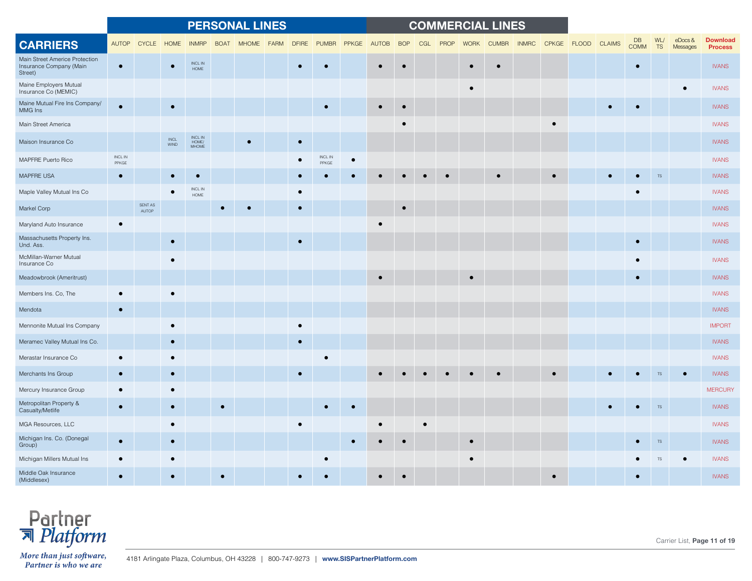|                                                                      |                  |                  |                    |                                  |             | <b>PERSONAL LINES</b> |             |              |                  |           |           |            |     |      |             | <b>COMMERCIAL LINES</b> |              |                    |           |                   |           |                        |                                   |
|----------------------------------------------------------------------|------------------|------------------|--------------------|----------------------------------|-------------|-----------------------|-------------|--------------|------------------|-----------|-----------|------------|-----|------|-------------|-------------------------|--------------|--------------------|-----------|-------------------|-----------|------------------------|-----------------------------------|
| <b>CARRIERS</b>                                                      |                  | AUTOP CYCLE      | HOME               | <b>INMRP</b>                     | <b>BOAT</b> | <b>MHOME</b>          | <b>FARM</b> | <b>DFIRE</b> | <b>PUMBR</b>     | PPKGE     | AUTOB     | <b>BOP</b> | CGL | PROP | <b>WORK</b> | <b>CUMBR</b>            | <b>INMRC</b> | CPKGE FLOOD CLAIMS |           | DB<br><b>COMM</b> | WL/<br>TS | $e$ Docs &<br>Messages | <b>Download</b><br><b>Process</b> |
| Main Street Americe Protection<br>Insurance Company (Main<br>Street) | $\bullet$        |                  |                    | <b>INCLIN</b><br>HOME            |             |                       |             | $\bullet$    |                  |           | $\bullet$ |            |     |      |             |                         |              |                    |           | $\bullet$         |           |                        | <b>IVANS</b>                      |
| Maine Employers Mutual<br>Insurance Co (MEMIC)                       |                  |                  |                    |                                  |             |                       |             |              |                  |           |           |            |     |      | $\bullet$   |                         |              |                    |           |                   |           |                        | <b>IVANS</b>                      |
| Maine Mutual Fire Ins Company/<br>MMG Ins                            |                  |                  |                    |                                  |             |                       |             |              |                  |           |           |            |     |      |             |                         |              |                    |           |                   |           |                        | <b>IVANS</b>                      |
| Main Street America                                                  |                  |                  |                    |                                  |             |                       |             |              |                  |           |           |            |     |      |             |                         |              |                    |           |                   |           |                        | <b>IVANS</b>                      |
| Maison Insurance Co                                                  |                  |                  | $\sf INCL$<br>WIND | INCL IN<br>HOME/<br><b>MHOME</b> |             |                       |             | $\bullet$    |                  |           |           |            |     |      |             |                         |              |                    |           |                   |           |                        | <b>IVANS</b>                      |
| MAPFRE Puerto Rico                                                   | INCL IN<br>PPKGE |                  |                    |                                  |             |                       |             |              | INCL IN<br>PPKGE | $\bullet$ |           |            |     |      |             |                         |              |                    |           |                   |           |                        | <b>IVANS</b>                      |
| MAPFRE USA                                                           | $\bullet$        |                  |                    |                                  |             |                       |             |              |                  |           |           |            |     |      |             |                         |              |                    |           |                   | <b>TS</b> |                        | <b>IVANS</b>                      |
| Maple Valley Mutual Ins Co                                           |                  |                  |                    | $\sf INCL$ $\sf IN$<br>HOME      |             |                       |             |              |                  |           |           |            |     |      |             |                         |              |                    |           |                   |           |                        | <b>IVANS</b>                      |
| Markel Corp                                                          |                  | SENT AS<br>AUTOP |                    |                                  |             |                       |             | $\bullet$    |                  |           |           | $\bullet$  |     |      |             |                         |              |                    |           |                   |           |                        | <b>IVANS</b>                      |
| Maryland Auto Insurance                                              |                  |                  |                    |                                  |             |                       |             |              |                  |           | $\bullet$ |            |     |      |             |                         |              |                    |           |                   |           |                        | <b>IVANS</b>                      |
| Massachusetts Property Ins.<br>Und. Ass.                             |                  |                  |                    |                                  |             |                       |             | $\bullet$    |                  |           |           |            |     |      |             |                         |              |                    |           | $\bullet$         |           |                        | <b>IVANS</b>                      |
| McMillan-Warner Mutual<br>Insurance Co                               |                  |                  |                    |                                  |             |                       |             |              |                  |           |           |            |     |      |             |                         |              |                    |           |                   |           |                        | <b>IVANS</b>                      |
| Meadowbrook (Ameritrust)                                             |                  |                  |                    |                                  |             |                       |             |              |                  |           |           |            |     |      |             |                         |              |                    |           | $\bullet$         |           |                        | <b>IVANS</b>                      |
| Members Ins. Co, The                                                 |                  |                  |                    |                                  |             |                       |             |              |                  |           |           |            |     |      |             |                         |              |                    |           |                   |           |                        | <b>IVANS</b>                      |
| Mendota                                                              | $\bullet$        |                  |                    |                                  |             |                       |             |              |                  |           |           |            |     |      |             |                         |              |                    |           |                   |           |                        | <b>IVANS</b>                      |
| Mennonite Mutual Ins Company                                         |                  |                  |                    |                                  |             |                       |             | $\bullet$    |                  |           |           |            |     |      |             |                         |              |                    |           |                   |           |                        | <b>IMPORT</b>                     |
| Meramec Valley Mutual Ins Co.                                        |                  |                  |                    |                                  |             |                       |             | $\bullet$    |                  |           |           |            |     |      |             |                         |              |                    |           |                   |           |                        | <b>IVANS</b>                      |
| Merastar Insurance Co                                                |                  |                  |                    |                                  |             |                       |             |              |                  |           |           |            |     |      |             |                         |              |                    |           |                   |           |                        | <b>IVANS</b>                      |
| Merchants Ins Group                                                  | $\bullet$        |                  |                    |                                  |             |                       |             | $\bullet$    |                  |           |           |            |     |      |             |                         |              |                    |           |                   | <b>TS</b> |                        | <b>IVANS</b>                      |
| Mercury Insurance Group                                              | $\bullet$        |                  |                    |                                  |             |                       |             |              |                  |           |           |            |     |      |             |                         |              |                    |           |                   |           |                        | <b>MERCURY</b>                    |
| Metropolitan Property &<br>Casualty/Metlife                          | $\bullet$        |                  |                    |                                  | $\bullet$   |                       |             |              |                  | $\bullet$ |           |            |     |      |             |                         |              |                    | $\bullet$ |                   | <b>TS</b> |                        | <b>IVANS</b>                      |
| MGA Resources, LLC                                                   |                  |                  |                    |                                  |             |                       |             | $\bullet$    |                  |           |           |            |     |      |             |                         |              |                    |           |                   |           |                        | <b>IVANS</b>                      |
| Michigan Ins. Co. (Donegal<br>Group)                                 | $\bullet$        |                  |                    |                                  |             |                       |             |              |                  |           |           |            |     |      | $\bullet$   |                         |              |                    |           |                   | <b>TS</b> |                        | <b>IVANS</b>                      |
| Michigan Millers Mutual Ins                                          |                  |                  |                    |                                  |             |                       |             |              |                  |           |           |            |     |      |             |                         |              |                    |           |                   |           |                        | <b>IVANS</b>                      |
| Middle Oak Insurance<br>(Middlesex)                                  |                  |                  |                    |                                  |             |                       |             |              |                  |           |           |            |     |      |             |                         |              |                    |           |                   |           |                        | <b>IVANS</b>                      |



Carrier List, **Page 11 of 19**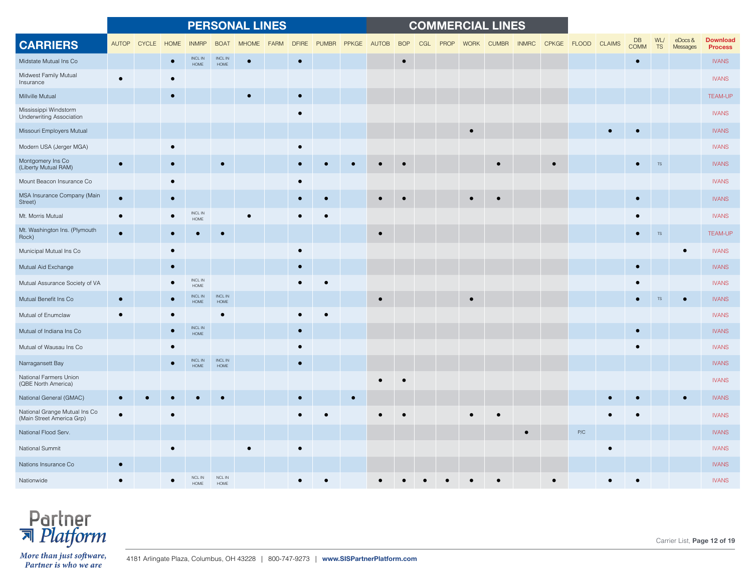|                                                            |           |             |           |                             |                         | <b>PERSONAL LINES</b> |             |              |              |           |           |            |     |      |             | <b>COMMERCIAL LINES</b> |              |                    |           |                   |                  |                    |                                   |
|------------------------------------------------------------|-----------|-------------|-----------|-----------------------------|-------------------------|-----------------------|-------------|--------------|--------------|-----------|-----------|------------|-----|------|-------------|-------------------------|--------------|--------------------|-----------|-------------------|------------------|--------------------|-----------------------------------|
| <b>CARRIERS</b>                                            |           | AUTOP CYCLE | HOME      | <b>INMRP</b>                | <b>BOAT</b>             | <b>MHOME</b>          | <b>FARM</b> | <b>DFIRE</b> | <b>PUMBR</b> | PPKGE     | AUTOB     | <b>BOP</b> | CGL | PROP | <b>WORK</b> | <b>CUMBR</b>            | <b>INMRC</b> | CPKGE FLOOD CLAIMS |           | DB<br><b>COMM</b> | WL/<br><b>TS</b> | eDocs&<br>Messages | <b>Download</b><br><b>Process</b> |
| Midstate Mutual Ins Co                                     |           |             |           | INCL IN<br>$\sf{HOME}$      | INCL IN<br>${\sf HOME}$ | $\bullet$             |             | $\bullet$    |              |           |           | $\bullet$  |     |      |             |                         |              |                    |           | $\bullet$         |                  |                    | <b>IVANS</b>                      |
| Midwest Family Mutual<br>Insurance                         |           |             |           |                             |                         |                       |             |              |              |           |           |            |     |      |             |                         |              |                    |           |                   |                  |                    | <b>IVANS</b>                      |
| Millville Mutual                                           |           |             | $\bullet$ |                             |                         |                       |             | $\bullet$    |              |           |           |            |     |      |             |                         |              |                    |           |                   |                  |                    | <b>TEAM-UP</b>                    |
| Mississippi Windstorm<br><b>Underwriting Association</b>   |           |             |           |                             |                         |                       |             | $\bullet$    |              |           |           |            |     |      |             |                         |              |                    |           |                   |                  |                    | <b>IVANS</b>                      |
| Missouri Employers Mutual                                  |           |             |           |                             |                         |                       |             |              |              |           |           |            |     |      |             |                         |              |                    |           |                   |                  |                    | <b>IVANS</b>                      |
| Modern USA (Jerger MGA)                                    |           |             |           |                             |                         |                       |             | $\bullet$    |              |           |           |            |     |      |             |                         |              |                    |           |                   |                  |                    | <b>IVANS</b>                      |
| Montgomery Ins Co<br>(Liberty Mutual RAM)                  | $\bullet$ |             | $\bullet$ |                             |                         |                       |             | $\bullet$    |              |           |           |            |     |      |             |                         |              |                    |           |                   | <b>TS</b>        |                    | <b>IVANS</b>                      |
| Mount Beacon Insurance Co                                  |           |             |           |                             |                         |                       |             | $\bullet$    |              |           |           |            |     |      |             |                         |              |                    |           |                   |                  |                    | <b>IVANS</b>                      |
| MSA Insurance Company (Main<br>Street)                     | $\bullet$ |             | $\bullet$ |                             |                         |                       |             | $\bullet$    |              |           | $\bullet$ |            |     |      |             |                         |              |                    |           | $\bullet$         |                  |                    | <b>IVANS</b>                      |
| Mt. Morris Mutual                                          |           |             |           | $\sf INCL$ $\sf IN$<br>HOME |                         |                       |             |              |              |           |           |            |     |      |             |                         |              |                    |           | $\bullet$         |                  |                    | <b>IVANS</b>                      |
| Mt. Washington Ins. (Plymouth<br>Rock)                     |           |             |           |                             |                         |                       |             |              |              |           | $\bullet$ |            |     |      |             |                         |              |                    |           | $\bullet$         | <b>TS</b>        |                    | <b>TEAM-UP</b>                    |
| Municipal Mutual Ins Co                                    |           |             |           |                             |                         |                       |             | $\bullet$    |              |           |           |            |     |      |             |                         |              |                    |           |                   |                  |                    | <b>IVANS</b>                      |
| Mutual Aid Exchange                                        |           |             |           |                             |                         |                       |             | $\bullet$    |              |           |           |            |     |      |             |                         |              |                    |           | $\bullet$         |                  |                    | <b>IVANS</b>                      |
| Mutual Assurance Society of VA                             |           |             |           | INCL IN<br>HOME             |                         |                       |             |              |              |           |           |            |     |      |             |                         |              |                    |           |                   |                  |                    | <b>IVANS</b>                      |
| Mutual Benefit Ins Co                                      |           |             |           | INCL IN<br><b>HOME</b>      | INCL IN<br>${\sf HOME}$ |                       |             |              |              |           |           |            |     |      |             |                         |              |                    |           |                   |                  |                    | <b>IVANS</b>                      |
| Mutual of Enumclaw                                         |           |             |           |                             |                         |                       |             |              |              |           |           |            |     |      |             |                         |              |                    |           |                   |                  |                    | <b>IVANS</b>                      |
| Mutual of Indiana Ins Co                                   |           |             |           | INCL IN<br>HOME             |                         |                       |             | $\bullet$    |              |           |           |            |     |      |             |                         |              |                    |           | $\bullet$         |                  |                    | <b>IVANS</b>                      |
| Mutual of Wausau Ins Co                                    |           |             |           |                             |                         |                       |             | $\bullet$    |              |           |           |            |     |      |             |                         |              |                    |           |                   |                  |                    | <b>IVANS</b>                      |
| Narragansett Bay                                           |           |             |           | <b>INCL IN</b><br>HOME      | INCL IN<br>HOME         |                       |             | $\bullet$    |              |           |           |            |     |      |             |                         |              |                    |           |                   |                  |                    | <b>IVANS</b>                      |
| National Farmers Union<br>(QBE North America)              |           |             |           |                             |                         |                       |             |              |              |           |           |            |     |      |             |                         |              |                    |           |                   |                  |                    | <b>IVANS</b>                      |
| National General (GMAC)                                    |           |             |           |                             |                         |                       |             | $\bullet$    |              | $\bullet$ |           |            |     |      |             |                         |              |                    |           |                   |                  | $\bullet$          | <b>IVANS</b>                      |
| National Grange Mutual Ins Co<br>(Main Street America Grp) |           |             |           |                             |                         |                       |             |              |              |           |           |            |     |      |             |                         |              |                    |           |                   |                  |                    | <b>IVANS</b>                      |
| National Flood Serv.                                       |           |             |           |                             |                         |                       |             |              |              |           |           |            |     |      |             |                         | $\bullet$    | P/C                |           |                   |                  |                    | <b>IVANS</b>                      |
| National Summit                                            |           |             |           |                             |                         |                       |             | $\bullet$    |              |           |           |            |     |      |             |                         |              |                    | $\bullet$ |                   |                  |                    | <b>IVANS</b>                      |
| Nations Insurance Co                                       |           |             |           |                             |                         |                       |             |              |              |           |           |            |     |      |             |                         |              |                    |           |                   |                  |                    | <b>IVANS</b>                      |
| Nationwide                                                 |           |             |           | <b>NCL IN</b><br>⊣∩м        | NCL IN<br><b>HOMF</b>   |                       |             |              |              |           |           |            |     |      |             |                         |              |                    |           |                   |                  |                    | <b>IVANS</b>                      |

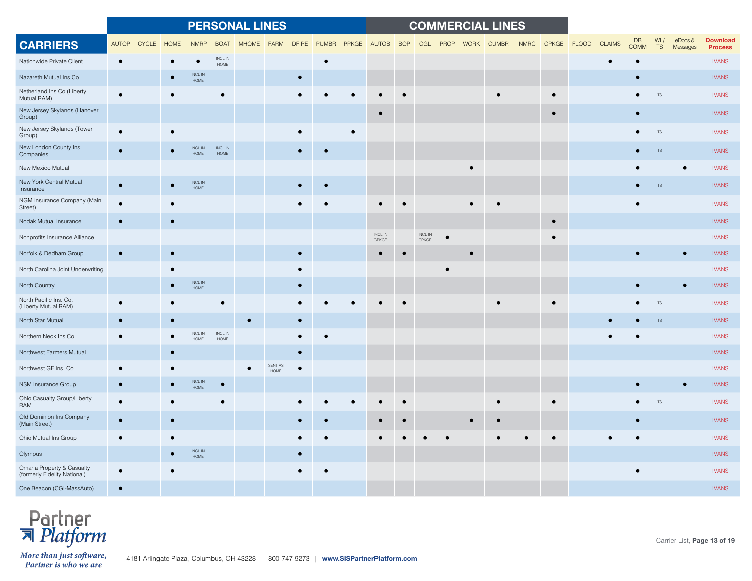|                                                           |              |              |             |                             |                         | <b>PERSONAL LINES</b> |                 |              |              |           |                              |            |                              |      |             | <b>COMMERCIAL LINES</b> |              |             |               |                          |                  |                        |                                   |
|-----------------------------------------------------------|--------------|--------------|-------------|-----------------------------|-------------------------|-----------------------|-----------------|--------------|--------------|-----------|------------------------------|------------|------------------------------|------|-------------|-------------------------|--------------|-------------|---------------|--------------------------|------------------|------------------------|-----------------------------------|
| <b>CARRIERS</b>                                           | <b>AUTOP</b> | <b>CYCLE</b> | <b>HOME</b> | <b>INMRP</b>                | <b>BOAT</b>             | <b>MHOME</b>          | <b>FARM</b>     | <b>DFIRE</b> | <b>PUMBR</b> | PPKGE     | AUTOB                        | <b>BOP</b> | CGL                          | PROP | <b>WORK</b> | <b>CUMBR</b>            | <b>INMRC</b> | CPKGE FLOOD | <b>CLAIMS</b> | <b>DB</b><br><b>COMM</b> | WL/<br><b>TS</b> | $e$ Docs &<br>Messages | <b>Download</b><br><b>Process</b> |
| Nationwide Private Client                                 | $\bullet$    |              |             | $\bullet$                   | INCL IN<br>HOME         |                       |                 |              | $\bullet$    |           |                              |            |                              |      |             |                         |              |             |               |                          |                  |                        | <b>IVANS</b>                      |
| Nazareth Mutual Ins Co                                    |              |              |             | $\sf INCL$ $\sf IN$<br>HOME |                         |                       |                 | $\bullet$    |              |           |                              |            |                              |      |             |                         |              |             |               |                          |                  |                        | <b>IVANS</b>                      |
| Netherland Ins Co (Liberty<br>Mutual RAM)                 | $\bullet$    |              |             |                             |                         |                       |                 |              |              |           |                              |            |                              |      |             |                         |              |             |               |                          | <b>TS</b>        |                        | <b>IVANS</b>                      |
| New Jersey Skylands (Hanover<br>Group)                    |              |              |             |                             |                         |                       |                 |              |              |           |                              |            |                              |      |             |                         |              |             |               | $\bullet$                |                  |                        | <b>IVANS</b>                      |
| New Jersey Skylands (Tower<br>Group)                      | $\bullet$    |              |             |                             |                         |                       |                 |              |              | $\bullet$ |                              |            |                              |      |             |                         |              |             |               |                          | TS               |                        | <b>IVANS</b>                      |
| New London County Ins<br>Companies                        |              |              |             | INCL IN<br>$\sf{HOME}$      | INCL IN<br>${\sf HOME}$ |                       |                 | $\bullet$    |              |           |                              |            |                              |      |             |                         |              |             |               |                          | $\mathsf{TS}$    |                        | <b>IVANS</b>                      |
| New Mexico Mutual                                         |              |              |             |                             |                         |                       |                 |              |              |           |                              |            |                              |      |             |                         |              |             |               |                          |                  |                        | <b>IVANS</b>                      |
| New York Central Mutual<br>Insurance                      | $\bullet$    |              |             | $\sf INCL$ $\sf IN$<br>HOME |                         |                       |                 |              |              |           |                              |            |                              |      |             |                         |              |             |               | $\bullet$                | $TS$             |                        | <b>IVANS</b>                      |
| NGM Insurance Company (Main<br>Street)                    |              |              |             |                             |                         |                       |                 |              |              |           |                              |            |                              |      |             |                         |              |             |               |                          |                  |                        | <b>IVANS</b>                      |
| Nodak Mutual Insurance                                    | ٠            |              |             |                             |                         |                       |                 |              |              |           |                              |            |                              |      |             |                         |              | $\bullet$   |               |                          |                  |                        | <b>IVANS</b>                      |
| Nonprofits Insurance Alliance                             |              |              |             |                             |                         |                       |                 |              |              |           | $\sf INCL$ $\sf IN$<br>CPKGE |            | $\sf INCL$ $\sf IN$<br>CPKGE |      |             |                         |              | $\epsilon$  |               |                          |                  |                        | <b>IVANS</b>                      |
| Norfolk & Dedham Group                                    | $\bullet$    |              |             |                             |                         |                       |                 | $\bullet$    |              |           |                              |            |                              |      |             |                         |              |             |               |                          |                  |                        | <b>IVANS</b>                      |
| North Carolina Joint Underwriting                         |              |              |             |                             |                         |                       |                 |              |              |           |                              |            |                              |      |             |                         |              |             |               |                          |                  |                        | <b>IVANS</b>                      |
| North Country                                             |              |              |             | INCL IN<br>HOME             |                         |                       |                 |              |              |           |                              |            |                              |      |             |                         |              |             |               |                          |                  |                        | <b>IVANS</b>                      |
| North Pacific Ins. Co.<br>(Liberty Mutual RAM)            |              |              |             |                             |                         |                       |                 |              |              |           |                              |            |                              |      |             |                         |              |             |               |                          | $TS$             |                        | <b>IVANS</b>                      |
| North Star Mutual                                         |              |              |             |                             |                         |                       |                 |              |              |           |                              |            |                              |      |             |                         |              |             |               |                          | <b>TS</b>        |                        | <b>IVANS</b>                      |
| Northern Neck Ins Co                                      |              |              |             | INCL IN<br>HOME             | INCL IN<br>HOME         |                       |                 |              |              |           |                              |            |                              |      |             |                         |              |             |               |                          |                  |                        | <b>IVANS</b>                      |
| Northwest Farmers Mutual                                  |              |              |             |                             |                         |                       |                 | $\bullet$    |              |           |                              |            |                              |      |             |                         |              |             |               |                          |                  |                        | <b>IVANS</b>                      |
| Northwest GF Ins. Co                                      |              |              |             |                             |                         |                       | SENT AS<br>HOME | $\bullet$    |              |           |                              |            |                              |      |             |                         |              |             |               |                          |                  |                        | <b>IVANS</b>                      |
| NSM Insurance Group                                       | $\bullet$    |              |             | INCL IN<br><b>HOME</b>      | $\bullet$               |                       |                 |              |              |           |                              |            |                              |      |             |                         |              |             |               |                          |                  |                        | <b>IVANS</b>                      |
| Ohio Casualty Group/Liberty<br>RAM                        |              |              |             |                             |                         |                       |                 |              |              |           |                              |            |                              |      |             |                         |              |             |               |                          | <b>TS</b>        |                        | <b>IVANS</b>                      |
| Old Dominion Ins Company<br>(Main Street)                 |              |              |             |                             |                         |                       |                 |              |              |           |                              |            |                              |      |             |                         |              |             |               |                          |                  |                        | <b>IVANS</b>                      |
| Ohio Mutual Ins Group                                     | $\epsilon$   |              |             |                             |                         |                       |                 |              |              |           |                              |            |                              |      |             |                         |              |             |               |                          |                  |                        | <b>IVANS</b>                      |
| Olympus                                                   |              |              |             | <b>INCLIN</b><br>HOME       |                         |                       |                 | $\bullet$    |              |           |                              |            |                              |      |             |                         |              |             |               |                          |                  |                        | <b>IVANS</b>                      |
| Omaha Property & Casualty<br>(formerly Fidelity National) | $\bullet$    |              |             |                             |                         |                       |                 |              |              |           |                              |            |                              |      |             |                         |              |             |               |                          |                  |                        | <b>IVANS</b>                      |
| One Beacon (CGI-MassAuto)                                 |              |              |             |                             |                         |                       |                 |              |              |           |                              |            |                              |      |             |                         |              |             |               |                          |                  |                        | <b>IVANS</b>                      |



Carrier List, **Page 13 of 19**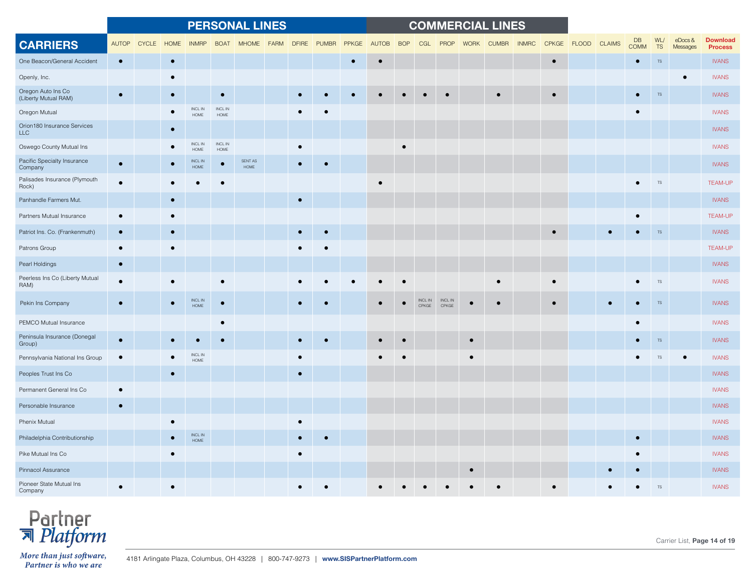|                                            |              |              |             |                         |                 | <b>PERSONAL LINES</b> |      |              |              |           |              |            |                              |                  |             | <b>COMMERCIAL LINES</b> |              |           |                    |                          |                  |                    |                                   |
|--------------------------------------------|--------------|--------------|-------------|-------------------------|-----------------|-----------------------|------|--------------|--------------|-----------|--------------|------------|------------------------------|------------------|-------------|-------------------------|--------------|-----------|--------------------|--------------------------|------------------|--------------------|-----------------------------------|
| <b>CARRIERS</b>                            | <b>AUTOP</b> | <b>CYCLE</b> | <b>HOME</b> | <b>INMRP</b>            | <b>BOAT</b>     | <b>MHOME</b>          | FARM | <b>DFIRE</b> | <b>PUMBR</b> | PPKGE     | <b>AUTOB</b> | <b>BOP</b> | CGL                          | PROP             | <b>WORK</b> | <b>CUMBR</b>            | <b>INMRC</b> |           | CPKGE FLOOD CLAIMS | <b>DB</b><br><b>COMM</b> | WL/<br><b>TS</b> | eDocs&<br>Messages | <b>Download</b><br><b>Process</b> |
| One Beacon/General Accident                | $\bullet$    |              | $\bullet$   |                         |                 |                       |      |              |              | $\bullet$ | $\bullet$    |            |                              |                  |             |                         |              | $\bullet$ |                    | $\bullet$                | TS               |                    | <b>IVANS</b>                      |
| Openly, Inc.                               |              |              |             |                         |                 |                       |      |              |              |           |              |            |                              |                  |             |                         |              |           |                    |                          |                  | $\bullet$          | <b>IVANS</b>                      |
| Oregon Auto Ins Co<br>(Liberty Mutual RAM) | $\bullet$    |              |             |                         | $\bullet$       |                       |      |              |              |           |              |            |                              |                  |             |                         |              | $\bullet$ |                    |                          | <b>TS</b>        |                    | <b>IVANS</b>                      |
| Oregon Mutual                              |              |              |             | <b>INCLIN</b><br>HOME   | INCL IN<br>HOME |                       |      |              |              |           |              |            |                              |                  |             |                         |              |           |                    | $\bullet$                |                  |                    | <b>IVANS</b>                      |
| Orion180 Insurance Services<br><b>LLC</b>  |              |              |             |                         |                 |                       |      |              |              |           |              |            |                              |                  |             |                         |              |           |                    |                          |                  |                    | <b>IVANS</b>                      |
| Oswego County Mutual Ins                   |              |              |             | <b>INCLIN</b><br>HOME   | INCL IN<br>HOME |                       |      | $\bullet$    |              |           |              |            |                              |                  |             |                         |              |           |                    |                          |                  |                    | <b>IVANS</b>                      |
| Pacific Specialty Insurance<br>Company     | $\bullet$    |              |             | INCL IN<br>${\sf HOME}$ | $\bullet$       | SENT AS<br>HOME       |      | $\bullet$    |              |           |              |            |                              |                  |             |                         |              |           |                    |                          |                  |                    | <b>IVANS</b>                      |
| Palisades Insurance (Plymouth<br>Rock)     |              |              |             |                         |                 |                       |      |              |              |           |              |            |                              |                  |             |                         |              |           |                    | $\bullet$                | <b>TS</b>        |                    | <b>TEAM-UP</b>                    |
| Panhandle Farmers Mut.                     |              |              | $\bullet$   |                         |                 |                       |      | $\bullet$    |              |           |              |            |                              |                  |             |                         |              |           |                    |                          |                  |                    | <b>IVANS</b>                      |
| Partners Mutual Insurance                  |              |              |             |                         |                 |                       |      |              |              |           |              |            |                              |                  |             |                         |              |           |                    |                          |                  |                    | <b>TEAM-UP</b>                    |
| Patriot Ins. Co. (Frankenmuth)             | $\bullet$    |              |             |                         |                 |                       |      |              |              |           |              |            |                              |                  |             |                         |              |           |                    |                          | <b>TS</b>        |                    | <b>IVANS</b>                      |
| Patrons Group                              | $\bullet$    |              |             |                         |                 |                       |      |              |              |           |              |            |                              |                  |             |                         |              |           |                    |                          |                  |                    | <b>TEAM-UP</b>                    |
| Pearl Holdings                             | $\bullet$    |              |             |                         |                 |                       |      |              |              |           |              |            |                              |                  |             |                         |              |           |                    |                          |                  |                    | <b>IVANS</b>                      |
| Peerless Ins Co (Liberty Mutual<br>RAM)    |              |              |             |                         |                 |                       |      |              |              |           |              |            |                              |                  |             |                         |              |           |                    |                          | <b>TS</b>        |                    | <b>IVANS</b>                      |
| Pekin Ins Company                          | $\bullet$    |              |             | INCL IN<br>HOME         | $\bullet$       |                       |      |              |              |           |              |            | $\sf INCL$ $\sf IN$<br>CPKGE | INCL IN<br>CPKGE |             |                         |              |           |                    |                          | <b>TS</b>        |                    | <b>IVANS</b>                      |
| PEMCO Mutual Insurance                     |              |              |             |                         | $\bullet$       |                       |      |              |              |           |              |            |                              |                  |             |                         |              |           |                    |                          |                  |                    | <b>IVANS</b>                      |
| Peninsula Insurance (Donegal<br>Group)     | $\bullet$    |              |             |                         |                 |                       |      |              |              |           | $\bullet$    |            |                              |                  | $\bullet$   |                         |              |           |                    |                          | <b>TS</b>        |                    | <b>IVANS</b>                      |
| Pennsylvania National Ins Group            |              |              |             | INCL IN<br>HOME         |                 |                       |      |              |              |           |              |            |                              |                  |             |                         |              |           |                    |                          |                  |                    | <b>IVANS</b>                      |
| Peoples Trust Ins Co                       |              |              |             |                         |                 |                       |      | $\bullet$    |              |           |              |            |                              |                  |             |                         |              |           |                    |                          |                  |                    | <b>IVANS</b>                      |
| Permanent General Ins Co                   |              |              |             |                         |                 |                       |      |              |              |           |              |            |                              |                  |             |                         |              |           |                    |                          |                  |                    | <b>IVANS</b>                      |
| Personable Insurance                       | $\bullet$    |              |             |                         |                 |                       |      |              |              |           |              |            |                              |                  |             |                         |              |           |                    |                          |                  |                    | <b>IVANS</b>                      |
| Phenix Mutual                              |              |              |             |                         |                 |                       |      | $\bullet$    |              |           |              |            |                              |                  |             |                         |              |           |                    |                          |                  |                    | <b>IVANS</b>                      |
| Philadelphia Contributionship              |              |              |             | INCL IN<br>HOME         |                 |                       |      |              |              |           |              |            |                              |                  |             |                         |              |           |                    | $\bullet$                |                  |                    | <b>IVANS</b>                      |
| Pike Mutual Ins Co                         |              |              |             |                         |                 |                       |      | $\bullet$    |              |           |              |            |                              |                  |             |                         |              |           |                    |                          |                  |                    | <b>IVANS</b>                      |
| Pinnacol Assurance                         |              |              |             |                         |                 |                       |      |              |              |           |              |            |                              |                  |             |                         |              |           |                    |                          |                  |                    | <b>IVANS</b>                      |
| Pioneer State Mutual Ins<br>Company        |              |              |             |                         |                 |                       |      |              |              |           |              |            |                              |                  |             |                         |              |           |                    |                          | TS               |                    | <b>IVANS</b>                      |

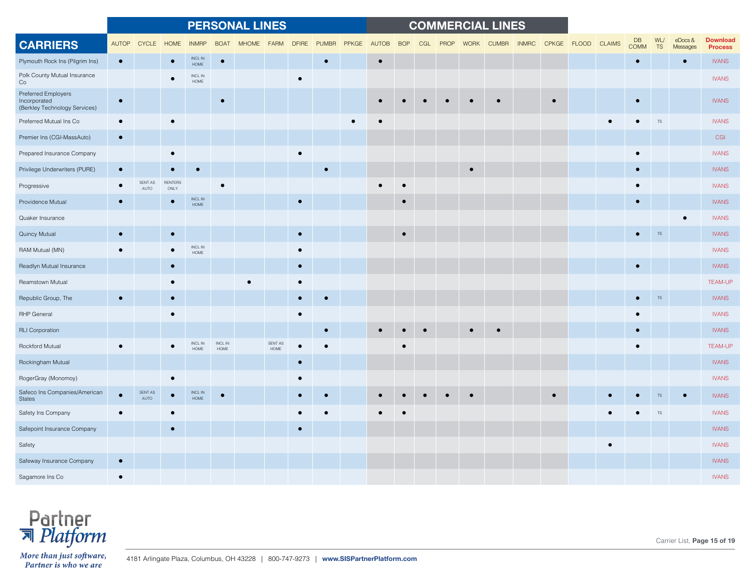|                                                                      |              |                 |                 |                             |                             | <b>PERSONAL LINES</b> |                        |              |              |           |              |            |     |      |             | <b>COMMERCIAL LINES</b> |              |                    |                   |                  |                    |                                   |
|----------------------------------------------------------------------|--------------|-----------------|-----------------|-----------------------------|-----------------------------|-----------------------|------------------------|--------------|--------------|-----------|--------------|------------|-----|------|-------------|-------------------------|--------------|--------------------|-------------------|------------------|--------------------|-----------------------------------|
| <b>CARRIERS</b>                                                      | <b>AUTOP</b> | <b>CYCLE</b>    | <b>HOME</b>     | <b>INMRP</b>                | <b>BOAT</b>                 | <b>MHOME</b>          | <b>FARM</b>            | <b>DFIRE</b> | <b>PUMBR</b> | PPKGE     | <b>AUTOB</b> | <b>BOP</b> | CGL | PROP | <b>WORK</b> | <b>CUMBR</b>            | <b>INMRC</b> | CPKGE FLOOD CLAIMS | DB<br><b>COMM</b> | WL/<br><b>TS</b> | eDocs&<br>Messages | <b>Download</b><br><b>Process</b> |
| Plymouth Rock Ins (Pilgrim Ins)                                      | $\bullet$    |                 |                 | $\sf INCL$ $\sf IN$<br>HOME | $\bullet$                   |                       |                        |              | $\bullet$    |           | $\bullet$    |            |     |      |             |                         |              |                    | $\bullet$         |                  | $\bullet$          | <b>IVANS</b>                      |
| Polk County Mutual Insurance<br>Co                                   |              |                 |                 | <b>INCLIN</b><br>HOME       |                             |                       |                        | $\bullet$    |              |           |              |            |     |      |             |                         |              |                    |                   |                  |                    | <b>IVANS</b>                      |
| Preferred Employers<br>Incorporated<br>(Berkley Technology Services) | $\bullet$    |                 |                 |                             | $\bullet$                   |                       |                        |              |              |           |              |            |     |      |             |                         |              |                    |                   |                  |                    | <b>IVANS</b>                      |
| Preferred Mutual Ins Co                                              | $\bullet$    |                 | $\bullet$       |                             |                             |                       |                        |              |              | $\bullet$ |              |            |     |      |             |                         |              |                    |                   | <b>TS</b>        |                    | <b>IVANS</b>                      |
| Premier Ins (CGI-MassAuto)                                           | $\bullet$    |                 |                 |                             |                             |                       |                        |              |              |           |              |            |     |      |             |                         |              |                    |                   |                  |                    | CGI                               |
| Prepared Insurance Company                                           |              |                 |                 |                             |                             |                       |                        |              |              |           |              |            |     |      |             |                         |              |                    | $\bullet$         |                  |                    | <b>IVANS</b>                      |
| Privilege Underwriters (PURE)                                        | $\bullet$    |                 |                 |                             |                             |                       |                        |              | $\bullet$    |           |              |            |     |      | $\bullet$   |                         |              |                    | $\bullet$         |                  |                    | <b>IVANS</b>                      |
| Progressive                                                          |              | SENT AS<br>AUTO | RENTERS<br>ONLY |                             |                             |                       |                        |              |              |           |              |            |     |      |             |                         |              |                    |                   |                  |                    | <b>IVANS</b>                      |
| Providence Mutual                                                    |              |                 |                 | INCL IN<br><b>HOME</b>      |                             |                       |                        |              |              |           |              | $\bullet$  |     |      |             |                         |              |                    | $\bullet$         |                  |                    | <b>IVANS</b>                      |
| Quaker Insurance                                                     |              |                 |                 |                             |                             |                       |                        |              |              |           |              |            |     |      |             |                         |              |                    |                   |                  |                    | <b>IVANS</b>                      |
| Quincy Mutual                                                        | $\bullet$    |                 | $\bullet$       |                             |                             |                       |                        | $\bullet$    |              |           |              | $\bullet$  |     |      |             |                         |              |                    | $\bullet$         | <b>TS</b>        |                    | <b>IVANS</b>                      |
| RAM Mutual (MN)                                                      |              |                 |                 | INCL IN<br>HOME             |                             |                       |                        | $\bullet$    |              |           |              |            |     |      |             |                         |              |                    |                   |                  |                    | <b>IVANS</b>                      |
| Readlyn Mutual Insurance                                             |              |                 |                 |                             |                             |                       |                        | $\bullet$    |              |           |              |            |     |      |             |                         |              |                    | $\bullet$         |                  |                    | <b>IVANS</b>                      |
| Reamstown Mutual                                                     |              |                 |                 |                             |                             |                       |                        | $\bullet$    |              |           |              |            |     |      |             |                         |              |                    |                   |                  |                    | <b>TEAM-UP</b>                    |
| Republic Group, The                                                  | $\bullet$    |                 |                 |                             |                             |                       |                        |              |              |           |              |            |     |      |             |                         |              |                    |                   | <b>TS</b>        |                    | <b>IVANS</b>                      |
| <b>RHP</b> General                                                   |              |                 |                 |                             |                             |                       |                        | $\bullet$    |              |           |              |            |     |      |             |                         |              |                    |                   |                  |                    | <b>IVANS</b>                      |
| <b>RLI Corporation</b>                                               |              |                 |                 |                             |                             |                       |                        |              |              |           |              |            |     |      |             | $\bullet$               |              |                    | $\bullet$         |                  |                    | <b>IVANS</b>                      |
| Rockford Mutual                                                      |              |                 |                 | INCL IN<br><b>HOME</b>      | $\sf INCL$ $\sf IN$<br>HOME |                       | SENT AS<br>$\sf{HOME}$ |              |              |           |              |            |     |      |             |                         |              |                    |                   |                  |                    | <b>TEAM-UP</b>                    |
| Rockingham Mutual                                                    |              |                 |                 |                             |                             |                       |                        |              |              |           |              |            |     |      |             |                         |              |                    |                   |                  |                    | <b>IVANS</b>                      |
| RogerGray (Monomoy)                                                  |              |                 |                 |                             |                             |                       |                        |              |              |           |              |            |     |      |             |                         |              |                    |                   |                  |                    | <b>IVANS</b>                      |
| Safeco Ins Companies/American<br><b>States</b>                       |              | SENT AS<br>AUTO |                 | INCL IN<br>HOME             | $\bullet$                   |                       |                        |              |              |           |              |            |     |      |             |                         |              |                    |                   |                  |                    | <b>IVANS</b>                      |
| Safety Ins Company                                                   |              |                 |                 |                             |                             |                       |                        |              |              |           |              |            |     |      |             |                         |              |                    |                   | <b>TS</b>        |                    | <b>IVANS</b>                      |
| Safepoint Insurance Company                                          |              |                 | $\bullet$       |                             |                             |                       |                        | $\bullet$    |              |           |              |            |     |      |             |                         |              |                    |                   |                  |                    | <b>IVANS</b>                      |
| Safety                                                               |              |                 |                 |                             |                             |                       |                        |              |              |           |              |            |     |      |             |                         |              |                    |                   |                  |                    | <b>IVANS</b>                      |
| Safeway Insurance Company                                            | $\bullet$    |                 |                 |                             |                             |                       |                        |              |              |           |              |            |     |      |             |                         |              |                    |                   |                  |                    | <b>IVANS</b>                      |
| Sagamore Ins Co                                                      | $\bullet$    |                 |                 |                             |                             |                       |                        |              |              |           |              |            |     |      |             |                         |              |                    |                   |                  |                    | <b>IVANS</b>                      |



Carrier List, **Page 15 of 19**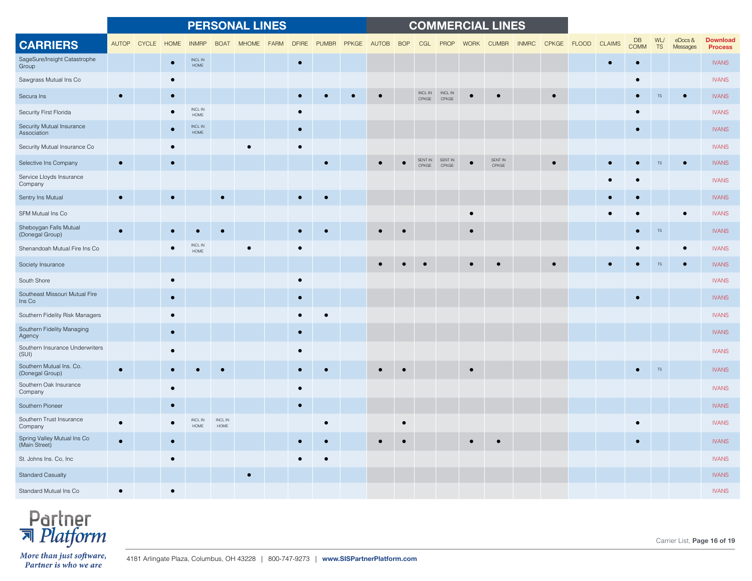|                                              |           |             |           |                              |                 | <b>PERSONAL LINES</b> |             |              |              |       |           |            |           |                                                                             |             | <b>COMMERCIAL LINES</b> |              |             |               |                   |           |                        |                                   |
|----------------------------------------------|-----------|-------------|-----------|------------------------------|-----------------|-----------------------|-------------|--------------|--------------|-------|-----------|------------|-----------|-----------------------------------------------------------------------------|-------------|-------------------------|--------------|-------------|---------------|-------------------|-----------|------------------------|-----------------------------------|
| <b>CARRIERS</b>                              |           | AUTOP CYCLE | HOME      | <b>INMRP</b>                 | <b>BOAT</b>     | <b>MHOME</b>          | <b>FARM</b> | <b>DFIRE</b> | <b>PUMBR</b> | PPKGE | AUTOB     | <b>BOP</b> | CGL       | PROP                                                                        | <b>WORK</b> | <b>CUMBR</b>            | <b>INMRC</b> | CPKGE FLOOD | <b>CLAIMS</b> | DB<br><b>COMM</b> | WL/<br>TS | $e$ Docs &<br>Messages | <b>Download</b><br><b>Process</b> |
| SageSure/Insight Catastrophe<br>Group        |           |             |           | INCL IN<br>HOME              |                 |                       |             | $\bullet$    |              |       |           |            |           |                                                                             |             |                         |              |             |               | $\bullet$         |           |                        | <b>IVANS</b>                      |
| Sawgrass Mutual Ins Co                       |           |             |           |                              |                 |                       |             |              |              |       |           |            |           |                                                                             |             |                         |              |             |               | $\bullet$         |           |                        | <b>IVANS</b>                      |
| Secura Ins                                   | $\bullet$ |             |           |                              |                 |                       |             |              |              |       |           |            | CPKGE     | $\mathsf{INCL} \; \mathsf{IN} \qquad \mathsf{INCL} \; \mathsf{IN}$<br>CPKGE |             |                         |              |             |               |                   | <b>TS</b> |                        | <b>IVANS</b>                      |
| Security First Florida                       |           |             |           | INCL IN<br>HOME              |                 |                       |             | $\bullet$    |              |       |           |            |           |                                                                             |             |                         |              |             |               |                   |           |                        | <b>IVANS</b>                      |
| Security Mutual Insurance<br>Association     |           |             |           | <b>INCLIN</b><br>$\sf{HOME}$ |                 |                       |             | $\bullet$    |              |       |           |            |           |                                                                             |             |                         |              |             |               |                   |           |                        | <b>IVANS</b>                      |
| Security Mutual Insurance Co                 |           |             |           |                              |                 |                       |             | $\bullet$    |              |       |           |            |           |                                                                             |             |                         |              |             |               |                   |           |                        | <b>IVANS</b>                      |
| Selective Ins Company                        | $\bullet$ |             | $\bullet$ |                              |                 |                       |             |              | $\bullet$    |       | $\bullet$ |            | CPKGE     | SENT IN SENT IN<br>CPKGE                                                    |             | SENT IN<br>CPKGE        |              | $\bullet$   |               | $\bullet$         | <b>TS</b> |                        | <b>IVANS</b>                      |
| Service Lloyds Insurance<br>Company          |           |             |           |                              |                 |                       |             |              |              |       |           |            |           |                                                                             |             |                         |              |             |               |                   |           |                        | <b>IVANS</b>                      |
| Sentry Ins Mutual                            |           |             |           |                              |                 |                       |             |              | $\bullet$    |       |           |            |           |                                                                             |             |                         |              |             |               |                   |           |                        | <b>IVANS</b>                      |
| SFM Mutual Ins Co                            |           |             |           |                              |                 |                       |             |              |              |       |           |            |           |                                                                             | $\bullet$   |                         |              |             |               |                   |           | $\bullet$              | <b>IVANS</b>                      |
| Sheboygan Falls Mutual<br>(Donegal Group)    |           |             |           |                              |                 |                       |             |              |              |       |           |            |           |                                                                             |             |                         |              |             |               |                   | $TS$      |                        | <b>IVANS</b>                      |
| Shenandoah Mutual Fire Ins Co                |           |             |           | <b>INCL IN</b><br>HOME       |                 |                       |             | $\bullet$    |              |       |           |            |           |                                                                             |             |                         |              |             |               |                   |           |                        | <b>IVANS</b>                      |
| Society Insurance                            |           |             |           |                              |                 |                       |             |              |              |       |           |            | $\bullet$ |                                                                             |             |                         |              |             |               |                   | $TS$      |                        | <b>IVANS</b>                      |
| South Shore                                  |           |             |           |                              |                 |                       |             | $\bullet$    |              |       |           |            |           |                                                                             |             |                         |              |             |               |                   |           |                        | <b>IVANS</b>                      |
| Southeast Missouri Mutual Fire<br>Ins Co     |           |             | $\bullet$ |                              |                 |                       |             | $\bullet$    |              |       |           |            |           |                                                                             |             |                         |              |             |               | $\bullet$         |           |                        | <b>IVANS</b>                      |
| Southern Fidelity Risk Managers              |           |             |           |                              |                 |                       |             | $\bullet$    |              |       |           |            |           |                                                                             |             |                         |              |             |               |                   |           |                        | <b>IVANS</b>                      |
| Southern Fidelity Managing<br>Agency         |           |             |           |                              |                 |                       |             | $\bullet$    |              |       |           |            |           |                                                                             |             |                         |              |             |               |                   |           |                        | <b>IVANS</b>                      |
| Southern Insurance Underwriters<br>(SUI)     |           |             |           |                              |                 |                       |             |              |              |       |           |            |           |                                                                             |             |                         |              |             |               |                   |           |                        | <b>IVANS</b>                      |
| Southern Mutual Ins. Co.<br>(Donegal Group)  |           |             |           |                              |                 |                       |             |              |              |       |           |            |           |                                                                             |             |                         |              |             |               |                   | <b>TS</b> |                        | <b>IVANS</b>                      |
| Southern Oak Insurance<br>Company            |           |             |           |                              |                 |                       |             | $\bullet$    |              |       |           |            |           |                                                                             |             |                         |              |             |               |                   |           |                        | <b>IVANS</b>                      |
| Southern Pioneer                             |           |             |           |                              |                 |                       |             | $\bullet$    |              |       |           |            |           |                                                                             |             |                         |              |             |               |                   |           |                        | <b>IVANS</b>                      |
| Southern Trust Insurance<br>Company          |           |             |           | INCL IN<br><b>HOME</b>       | INCL IN<br>HOME |                       |             |              |              |       |           |            |           |                                                                             |             |                         |              |             |               |                   |           |                        | <b>IVANS</b>                      |
| Spring Valley Mutual Ins Co<br>(Main Street) | $\bullet$ |             |           |                              |                 |                       |             |              |              |       |           |            |           |                                                                             |             | $\bullet$               |              |             |               | $\bullet$         |           |                        | <b>IVANS</b>                      |
| St. Johns Ins. Co, Inc.                      |           |             |           |                              |                 |                       |             |              |              |       |           |            |           |                                                                             |             |                         |              |             |               |                   |           |                        | <b>IVANS</b>                      |
| <b>Standard Casualty</b>                     |           |             |           |                              |                 |                       |             |              |              |       |           |            |           |                                                                             |             |                         |              |             |               |                   |           |                        | <b>IVANS</b>                      |
| Standard Mutual Ins Co                       |           |             |           |                              |                 |                       |             |              |              |       |           |            |           |                                                                             |             |                         |              |             |               |                   |           |                        | <b>IVANS</b>                      |



Carrier List, **Page 16 of 19**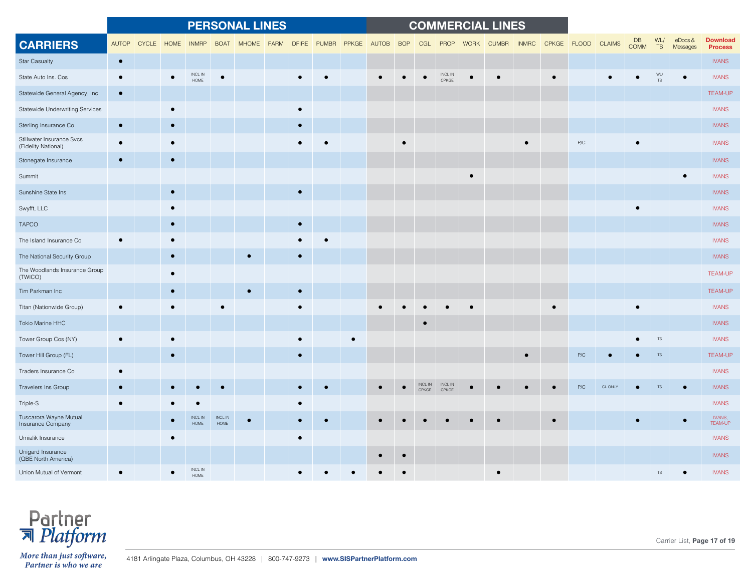|                                                  |            |            |           |                               |                 | <b>PERSONAL LINES</b> |             |           |             |           |       |            |       |                          |             | <b>COMMERCIAL LINES</b> |              |           |                    |        |                   |                  |                        |                                   |
|--------------------------------------------------|------------|------------|-----------|-------------------------------|-----------------|-----------------------|-------------|-----------|-------------|-----------|-------|------------|-------|--------------------------|-------------|-------------------------|--------------|-----------|--------------------|--------|-------------------|------------------|------------------------|-----------------------------------|
| <b>CARRIERS</b>                                  | AUTOP      | CYCLE HOME |           | <b>INMRP</b>                  | <b>BOAT</b>     | <b>MHOME</b>          | <b>FARM</b> |           | DFIRE PUMBR | PPKGE     | AUTOB | <b>BOP</b> | CGL   | PROP                     | <b>WORK</b> | <b>CUMBR</b>            | <b>INMRC</b> |           | CPKGE FLOOD CLAIMS |        | DB<br><b>COMM</b> | WL/<br><b>TS</b> | $e$ Docs &<br>Messages | <b>Download</b><br><b>Process</b> |
| <b>Star Casualty</b>                             | $\bullet$  |            |           |                               |                 |                       |             |           |             |           |       |            |       |                          |             |                         |              |           |                    |        |                   |                  |                        | <b>IVANS</b>                      |
| State Auto Ins. Cos                              | $\bullet$  |            | $\bullet$ | INCL IN<br>HOME               | $\bullet$       |                       |             |           |             |           |       |            |       | <b>INCL IN</b><br>CPKGE  |             |                         |              |           |                    |        |                   | <b>TS</b>        |                        | <b>IVANS</b>                      |
| Statewide General Agency, Inc                    | $\bullet$  |            |           |                               |                 |                       |             |           |             |           |       |            |       |                          |             |                         |              |           |                    |        |                   |                  |                        | <b>TEAM-UP</b>                    |
| Statewide Underwriting Services                  |            |            |           |                               |                 |                       |             | $\bullet$ |             |           |       |            |       |                          |             |                         |              |           |                    |        |                   |                  |                        | <b>IVANS</b>                      |
| Sterling Insurance Co                            | $\bullet$  |            |           |                               |                 |                       |             | $\bullet$ |             |           |       |            |       |                          |             |                         |              |           |                    |        |                   |                  |                        | <b>IVANS</b>                      |
| Stillwater Insurance Svcs<br>(Fidelity National) | $\epsilon$ |            |           |                               |                 |                       |             |           |             |           |       |            |       |                          |             |                         |              |           | ${\sf P/C}$        |        |                   |                  |                        | <b>IVANS</b>                      |
| Stonegate Insurance                              | $\bullet$  |            |           |                               |                 |                       |             |           |             |           |       |            |       |                          |             |                         |              |           |                    |        |                   |                  |                        | <b>IVANS</b>                      |
| Summit                                           |            |            |           |                               |                 |                       |             |           |             |           |       |            |       |                          | $\bullet$   |                         |              |           |                    |        |                   |                  |                        | <b>IVANS</b>                      |
| Sunshine State Ins                               |            |            |           |                               |                 |                       |             | $\bullet$ |             |           |       |            |       |                          |             |                         |              |           |                    |        |                   |                  |                        | <b>IVANS</b>                      |
| Swyfft, LLC                                      |            |            |           |                               |                 |                       |             |           |             |           |       |            |       |                          |             |                         |              |           |                    |        | $\bullet$         |                  |                        | <b>IVANS</b>                      |
| <b>TAPCO</b>                                     |            |            |           |                               |                 |                       |             | $\bullet$ |             |           |       |            |       |                          |             |                         |              |           |                    |        |                   |                  |                        | <b>IVANS</b>                      |
| The Island Insurance Co                          |            |            |           |                               |                 |                       |             |           |             |           |       |            |       |                          |             |                         |              |           |                    |        |                   |                  |                        | <b>IVANS</b>                      |
| The National Security Group                      |            |            | $\bullet$ |                               |                 |                       |             | $\bullet$ |             |           |       |            |       |                          |             |                         |              |           |                    |        |                   |                  |                        | <b>IVANS</b>                      |
| The Woodlands Insurance Group<br>(TWICO)         |            |            |           |                               |                 |                       |             |           |             |           |       |            |       |                          |             |                         |              |           |                    |        |                   |                  |                        | <b>TEAM-UP</b>                    |
| Tim Parkman Inc                                  |            |            |           |                               |                 |                       |             | $\bullet$ |             |           |       |            |       |                          |             |                         |              |           |                    |        |                   |                  |                        | <b>TEAM-UP</b>                    |
| Titan (Nationwide Group)                         |            |            |           |                               |                 |                       |             | $\bullet$ |             |           |       |            |       |                          |             |                         |              |           |                    |        |                   |                  |                        | <b>IVANS</b>                      |
| Tokio Marine HHC                                 |            |            |           |                               |                 |                       |             |           |             |           |       |            |       |                          |             |                         |              |           |                    |        |                   |                  |                        | <b>IVANS</b>                      |
| Tower Group Cos (NY)                             |            |            |           |                               |                 |                       |             |           |             | $\bullet$ |       |            |       |                          |             |                         |              |           |                    |        |                   | <b>TS</b>        |                        | <b>IVANS</b>                      |
| Tower Hill Group (FL)                            |            |            | $\bullet$ |                               |                 |                       |             | $\bullet$ |             |           |       |            |       |                          |             |                         | $\bullet$    |           | P/C                |        |                   | <b>TS</b>        |                        | <b>TEAM-UP</b>                    |
| Traders Insurance Co                             |            |            |           |                               |                 |                       |             |           |             |           |       |            |       |                          |             |                         |              |           |                    |        |                   |                  |                        | <b>IVANS</b>                      |
| Travelers Ins Group                              |            |            |           |                               |                 |                       |             |           |             |           |       |            | CPKGF | INCL IN INCL IN<br>CPKGE |             |                         |              |           | P/C                | CL ONL |                   |                  |                        | <b>IVANS</b>                      |
| Triple-S                                         |            |            |           |                               |                 |                       |             | $\bullet$ |             |           |       |            |       |                          |             |                         |              |           |                    |        |                   |                  |                        | <b>IVANS</b>                      |
| Tuscarora Wayne Mutual<br>Insurance Company      |            |            |           | <b>INCLIN</b><br><b>HOME</b>  | INCL IN<br>HOME |                       |             |           |             |           |       |            |       |                          |             |                         |              | $\bullet$ |                    |        | $\bullet$         |                  |                        | IVANS,<br>TEAM-UP                 |
| Umialik Insurance                                |            |            |           |                               |                 |                       |             | $\bullet$ |             |           |       |            |       |                          |             |                         |              |           |                    |        |                   |                  |                        | <b>IVANS</b>                      |
| Unigard Insurance<br>(QBE North America)         |            |            |           |                               |                 |                       |             |           |             |           |       |            |       |                          |             |                         |              |           |                    |        |                   |                  |                        | <b>IVANS</b>                      |
| Union Mutual of Vermont                          |            |            |           | <b>INCL IN</b><br><b>HOME</b> |                 |                       |             |           |             |           |       |            |       |                          |             |                         |              |           |                    |        |                   | <b>TS</b>        |                        | <b>IVANS</b>                      |



Carrier List, **Page 17 of 19**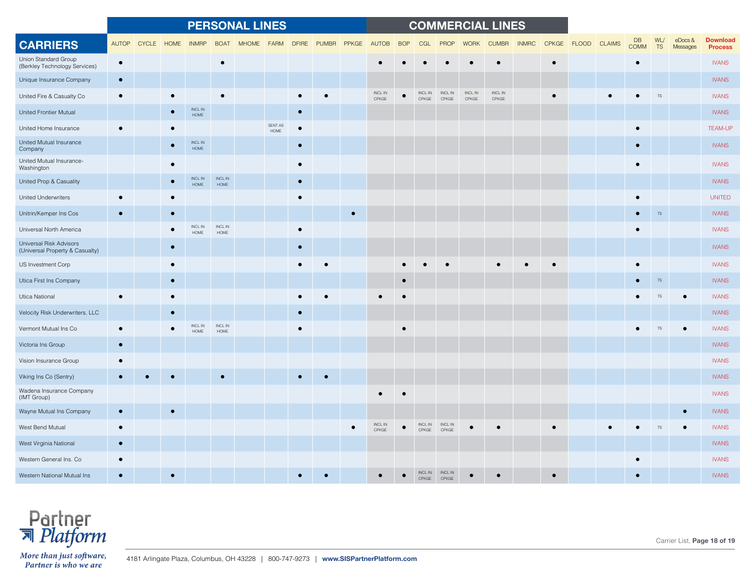|                                                            |              |            |           |                               |                        | <b>PERSONAL LINES</b> |                 |              |              |       |                              |            |                        |                              |                  | <b>COMMERCIAL LINES</b>      |              |              |              |               |                   |                  |                        |                                   |
|------------------------------------------------------------|--------------|------------|-----------|-------------------------------|------------------------|-----------------------|-----------------|--------------|--------------|-------|------------------------------|------------|------------------------|------------------------------|------------------|------------------------------|--------------|--------------|--------------|---------------|-------------------|------------------|------------------------|-----------------------------------|
| <b>CARRIERS</b>                                            | <b>AUTOP</b> | CYCLE HOME |           | <b>INMRP</b>                  | <b>BOAT</b>            | <b>MHOME</b>          | <b>FARM</b>     | <b>DFIRE</b> | <b>PUMBR</b> | PPKGE | <b>AUTOB</b>                 | <b>BOP</b> | CGL                    | PROP                         | <b>WORK</b>      | <b>CUMBR</b>                 | <b>INMRC</b> | <b>CPKGE</b> | <b>FLOOD</b> | <b>CLAIMS</b> | DB<br><b>COMM</b> | WL/<br><b>TS</b> | $e$ Docs &<br>Messages | <b>Download</b><br><b>Process</b> |
| Union Standard Group<br>(Berkley Technology Services)      | $\bullet$    |            |           |                               | $\bullet$              |                       |                 |              |              |       |                              |            |                        |                              |                  |                              |              |              |              |               | $\bullet$         |                  |                        | <b>IVANS</b>                      |
| Unique Insurance Company                                   | $\bullet$    |            |           |                               |                        |                       |                 |              |              |       |                              |            |                        |                              |                  |                              |              |              |              |               |                   |                  |                        | <b>IVANS</b>                      |
| United Fire & Casualty Co                                  |              |            |           |                               | $\bullet$              |                       |                 |              |              |       | $\sf INCL$ $\sf IN$<br>CPKGE |            | INCL IN<br>CPKGE       | $\sf INCL$ $\sf IN$<br>CPKGE | INCL IN<br>CPKGE | $\sf INCL$ $\sf IN$<br>CPKGE |              |              |              |               |                   |                  |                        | <b>IVANS</b>                      |
| United Frontier Mutual                                     |              |            |           | INCL IN<br>$\sf{HOME}$        |                        |                       |                 |              |              |       |                              |            |                        |                              |                  |                              |              |              |              |               |                   |                  |                        | <b>IVANS</b>                      |
| United Home Insurance                                      |              |            |           |                               |                        |                       | SENT AS<br>HOME | $\bullet$    |              |       |                              |            |                        |                              |                  |                              |              |              |              |               | $\bullet$         |                  |                        | <b>TEAM-UP</b>                    |
| United Mutual Insurance<br>Company                         |              |            |           | INCL IN<br>HOME               |                        |                       |                 | $\bullet$    |              |       |                              |            |                        |                              |                  |                              |              |              |              |               |                   |                  |                        | <b>IVANS</b>                      |
| United Mutual Insurance-<br>Washington                     |              |            |           |                               |                        |                       |                 | $\bullet$    |              |       |                              |            |                        |                              |                  |                              |              |              |              |               |                   |                  |                        | <b>IVANS</b>                      |
| United Prop & Casuality                                    |              |            |           | INCL IN<br><b>HOME</b>        | INCL IN<br>HOME        |                       |                 | $\bullet$    |              |       |                              |            |                        |                              |                  |                              |              |              |              |               |                   |                  |                        | <b>IVANS</b>                      |
| United Underwriters                                        |              |            |           |                               |                        |                       |                 | $\bullet$    |              |       |                              |            |                        |                              |                  |                              |              |              |              |               |                   |                  |                        | <b>UNITED</b>                     |
| Unitrin/Kemper Ins Cos                                     |              |            |           |                               |                        |                       |                 |              |              |       |                              |            |                        |                              |                  |                              |              |              |              |               |                   | <b>TS</b>        |                        | <b>IVANS</b>                      |
| Universal North America                                    |              |            |           | <b>INCL IN</b><br><b>HOME</b> | INCL IN<br>HOME        |                       |                 |              |              |       |                              |            |                        |                              |                  |                              |              |              |              |               |                   |                  |                        | <b>IVANS</b>                      |
| Universal Risk Advisors<br>(Universal Property & Casualty) |              |            |           |                               |                        |                       |                 | $\bullet$    |              |       |                              |            |                        |                              |                  |                              |              |              |              |               |                   |                  |                        | <b>IVANS</b>                      |
| US Investment Corp                                         |              |            |           |                               |                        |                       |                 |              |              |       |                              |            |                        |                              |                  |                              |              |              |              |               |                   |                  |                        | <b>IVANS</b>                      |
| Utica First Ins Company                                    |              |            | $\bullet$ |                               |                        |                       |                 |              |              |       |                              | $\bullet$  |                        |                              |                  |                              |              |              |              |               |                   | TS               |                        | <b>IVANS</b>                      |
| Utica National                                             |              |            |           |                               |                        |                       |                 |              |              |       |                              |            |                        |                              |                  |                              |              |              |              |               |                   | <b>TS</b>        |                        | <b>IVANS</b>                      |
| Velocity Risk Underwriters, LLC                            |              |            |           |                               |                        |                       |                 |              |              |       |                              |            |                        |                              |                  |                              |              |              |              |               |                   |                  |                        | <b>IVANS</b>                      |
| Vermont Mutual Ins Co                                      |              |            |           | <b>INCL IN</b><br><b>HOME</b> | <b>INCL IN</b><br>HOME |                       |                 |              |              |       |                              |            |                        |                              |                  |                              |              |              |              |               |                   |                  |                        | <b>IVANS</b>                      |
| Victoria Ins Group                                         | $\bullet$    |            |           |                               |                        |                       |                 |              |              |       |                              |            |                        |                              |                  |                              |              |              |              |               |                   |                  |                        | <b>IVANS</b>                      |
| Vision Insurance Group                                     |              |            |           |                               |                        |                       |                 |              |              |       |                              |            |                        |                              |                  |                              |              |              |              |               |                   |                  |                        | <b>IVANS</b>                      |
| Viking Ins Co (Sentry)                                     |              |            |           |                               |                        |                       |                 |              |              |       |                              |            |                        |                              |                  |                              |              |              |              |               |                   |                  |                        | <b>IVANS</b>                      |
| Wadena Insurance Company<br>(IMT Group)                    |              |            |           |                               |                        |                       |                 |              |              |       |                              |            |                        |                              |                  |                              |              |              |              |               |                   |                  |                        | <b>IVANS</b>                      |
| Wayne Mutual Ins Company                                   |              |            |           |                               |                        |                       |                 |              |              |       |                              |            |                        |                              |                  |                              |              |              |              |               |                   |                  |                        | <b>IVANS</b>                      |
| West Bend Mutual                                           | $\bullet$    |            |           |                               |                        |                       |                 |              |              |       | INCL IN<br>CPKGE             |            | <b>INCLIN</b><br>CPKGE | <b>INCLIN</b><br>CPKGE       |                  |                              |              |              |              |               |                   |                  |                        | <b>IVANS</b>                      |
| West Virginia National                                     | $\bullet$    |            |           |                               |                        |                       |                 |              |              |       |                              |            |                        |                              |                  |                              |              |              |              |               |                   |                  |                        | <b>IVANS</b>                      |
| Western General Ins. Co                                    | $\bullet$    |            |           |                               |                        |                       |                 |              |              |       |                              |            |                        |                              |                  |                              |              |              |              |               |                   |                  |                        | <b>IVANS</b>                      |
| Western National Mutual Ins                                |              |            |           |                               |                        |                       |                 |              |              |       |                              |            | <b>NCLIN</b>           | <b>INCLIN</b>                |                  |                              |              |              |              |               |                   |                  |                        | <b>IVANS</b>                      |